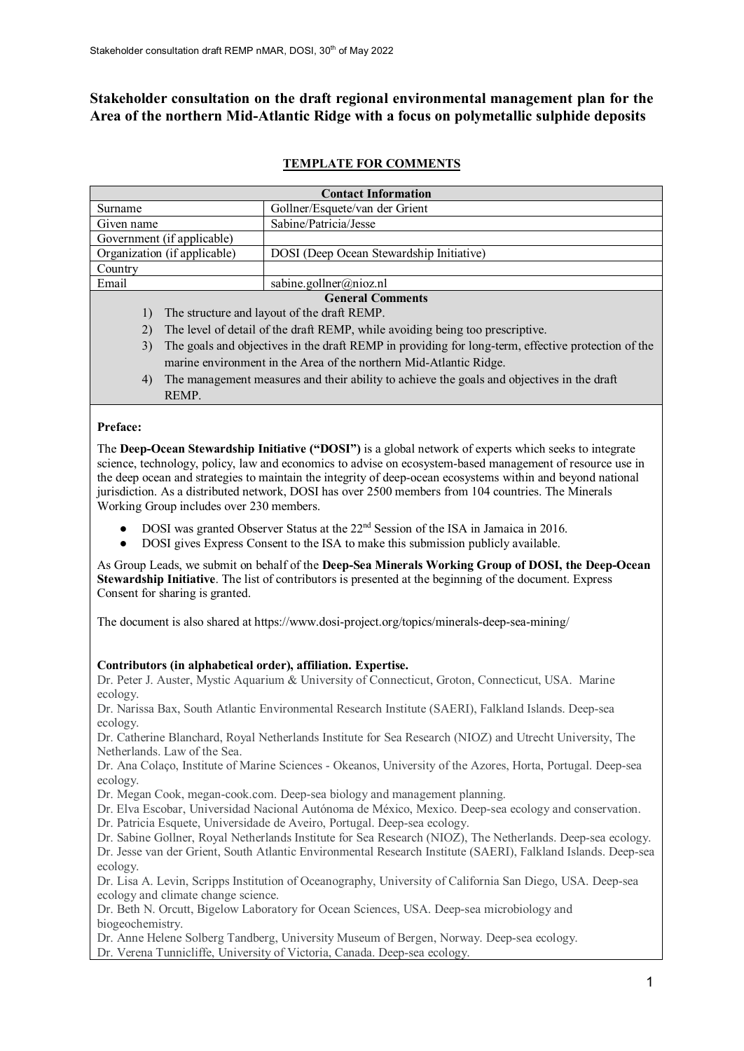# **Stakeholder consultation on the draft regional environmental management plan for the Area of the northern Mid-Atlantic Ridge with a focus on polymetallic sulphide deposits**

## **TEMPLATE FOR COMMENTS**

| <b>Contact Information</b>   |                                                                                                    |  |
|------------------------------|----------------------------------------------------------------------------------------------------|--|
| Surname                      | Gollner/Esquete/van der Grient                                                                     |  |
| Given name                   | Sabine/Patricia/Jesse                                                                              |  |
| Government (if applicable)   |                                                                                                    |  |
| Organization (if applicable) | DOSI (Deep Ocean Stewardship Initiative)                                                           |  |
| Country                      |                                                                                                    |  |
| Email                        | sabine.gollner@nioz.nl                                                                             |  |
| <b>General Comments</b>      |                                                                                                    |  |
| $\left  \right $             | The structure and layout of the draft REMP.                                                        |  |
| 2)                           | The level of detail of the draft REMP, while avoiding being too prescriptive.                      |  |
| 3)                           | The goals and objectives in the draft REMP in providing for long-term, effective protection of the |  |
|                              | marine environment in the Area of the northern Mid-Atlantic Ridge.                                 |  |
| 4)                           | The management measures and their ability to achieve the goals and objectives in the draft         |  |
| REMP.                        |                                                                                                    |  |

### **Preface:**

The **Deep-Ocean Stewardship Initiative ("DOSI")** is a global network of experts which seeks to integrate science, technology, policy, law and economics to advise on ecosystem-based management of resource use in the deep ocean and strategies to maintain the integrity of deep-ocean ecosystems within and beyond national jurisdiction. As a distributed network, DOSI has over 2500 members from 104 countries. The Minerals Working Group includes over 230 members.

- DOSI was granted Observer Status at the 22<sup>nd</sup> Session of the ISA in Jamaica in 2016.
- DOSI gives Express Consent to the ISA to make this submission publicly available.

As Group Leads, we submit on behalf of the **Deep-Sea Minerals Working Group of DOSI, the Deep-Ocean Stewardship Initiative**. The list of contributors is presented at the beginning of the document. Express Consent for sharing is granted.

The document is also shared at https://www.dosi-project.org/topics/minerals-deep-sea-mining/

## **Contributors (in alphabetical order), affiliation. Expertise.**

Dr. Peter J. Auster, Mystic Aquarium & University of Connecticut, Groton, Connecticut, USA. Marine ecology.

Dr. Narissa Bax, South Atlantic Environmental Research Institute (SAERI), Falkland Islands. Deep-sea ecology.

Dr. Catherine Blanchard, Royal Netherlands Institute for Sea Research (NIOZ) and Utrecht University, The Netherlands. Law of the Sea.

Dr. Ana Colaço, Institute of Marine Sciences - Okeanos, University of the Azores, Horta, Portugal. Deep-sea ecology.

Dr. Megan Cook, megan-cook.com. Deep-sea biology and management planning.

Dr. Elva Escobar, Universidad Nacional Autónoma de México, Mexico. Deep-sea ecology and conservation.

Dr. Patricia Esquete, Universidade de Aveiro, Portugal. Deep-sea ecology.

Dr. Sabine Gollner, Royal Netherlands Institute for Sea Research (NIOZ), The Netherlands. Deep-sea ecology. Dr. Jesse van der Grient, South Atlantic Environmental Research Institute (SAERI), Falkland Islands. Deep-sea ecology.

Dr. Lisa A. Levin, Scripps Institution of Oceanography, University of California San Diego, USA. Deep-sea ecology and climate change science.

Dr. Beth N. Orcutt, Bigelow Laboratory for Ocean Sciences, USA. Deep-sea microbiology and biogeochemistry.

Dr. Anne Helene Solberg Tandberg, University Museum of Bergen, Norway. Deep-sea ecology. Dr. Verena Tunnicliffe, University of Victoria, Canada. Deep-sea ecology.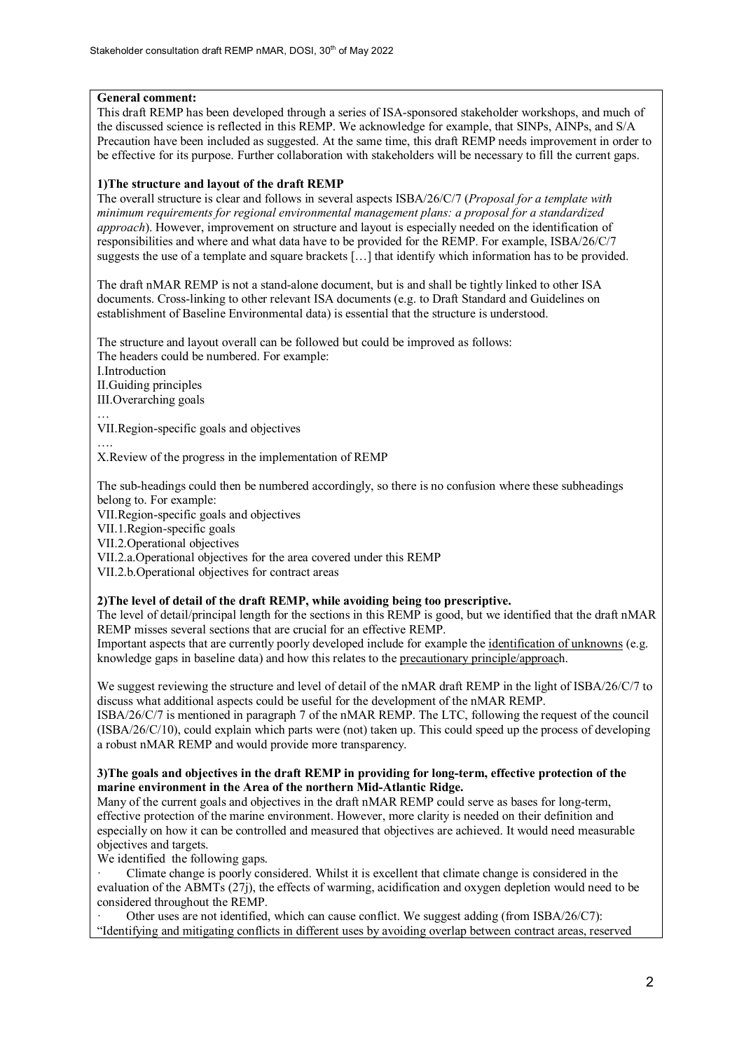## **General comment:**

This draft REMP has been developed through a series of ISA-sponsored stakeholder workshops, and much of the discussed science is reflected in this REMP. We acknowledge for example, that SINPs, AINPs, and S/A Precaution have been included as suggested. At the same time, this draft REMP needs improvement in order to be effective for its purpose. Further collaboration with stakeholders will be necessary to fill the current gaps.

## **1)The structure and layout of the draft REMP**

The overall structure is clear and follows in several aspects ISBA/26/C/7 (*Proposal for a template with minimum requirements for regional environmental management plans: a proposal for a standardized approach*). However, improvement on structure and layout is especially needed on the identification of responsibilities and where and what data have to be provided for the REMP. For example, ISBA/26/C/7 suggests the use of a template and square brackets […] that identify which information has to be provided.

The draft nMAR REMP is not a stand-alone document, but is and shall be tightly linked to other ISA documents. Cross-linking to other relevant ISA documents (e.g. to Draft Standard and Guidelines on establishment of Baseline Environmental data) is essential that the structure is understood.

The structure and layout overall can be followed but could be improved as follows: The headers could be numbered. For example: I.Introduction II.Guiding principles III.Overarching goals

… VII.Region-specific goals and objectives

….

X.Review of the progress in the implementation of REMP

The sub-headings could then be numbered accordingly, so there is no confusion where these subheadings belong to. For example:

VII.Region-specific goals and objectives

VII.1.Region-specific goals

VII.2.Operational objectives

VII.2.a.Operational objectives for the area covered under this REMP

VII.2.b.Operational objectives for contract areas

### **2)The level of detail of the draft REMP, while avoiding being too prescriptive.**

The level of detail/principal length for the sections in this REMP is good, but we identified that the draft nMAR REMP misses several sections that are crucial for an effective REMP.

Important aspects that are currently poorly developed include for example the identification of unknowns (e.g. knowledge gaps in baseline data) and how this relates to the precautionary principle/approach.

We suggest reviewing the structure and level of detail of the nMAR draft REMP in the light of ISBA/26/C/7 to discuss what additional aspects could be useful for the development of the nMAR REMP.

ISBA/26/C/7 is mentioned in paragraph 7 of the nMAR REMP. The LTC, following the request of the council (ISBA/26/C/10), could explain which parts were (not) taken up. This could speed up the process of developing a robust nMAR REMP and would provide more transparency.

## **3)The goals and objectives in the draft REMP in providing for long-term, effective protection of the marine environment in the Area of the northern Mid-Atlantic Ridge.**

Many of the current goals and objectives in the draft nMAR REMP could serve as bases for long-term, effective protection of the marine environment. However, more clarity is needed on their definition and especially on how it can be controlled and measured that objectives are achieved. It would need measurable objectives and targets.

We identified the following gaps.

· Climate change is poorly considered. Whilst it is excellent that climate change is considered in the evaluation of the ABMTs (27j), the effects of warming, acidification and oxygen depletion would need to be considered throughout the REMP.

Other uses are not identified, which can cause conflict. We suggest adding (from ISBA/26/C7): "Identifying and mitigating conflicts in different uses by avoiding overlap between contract areas, reserved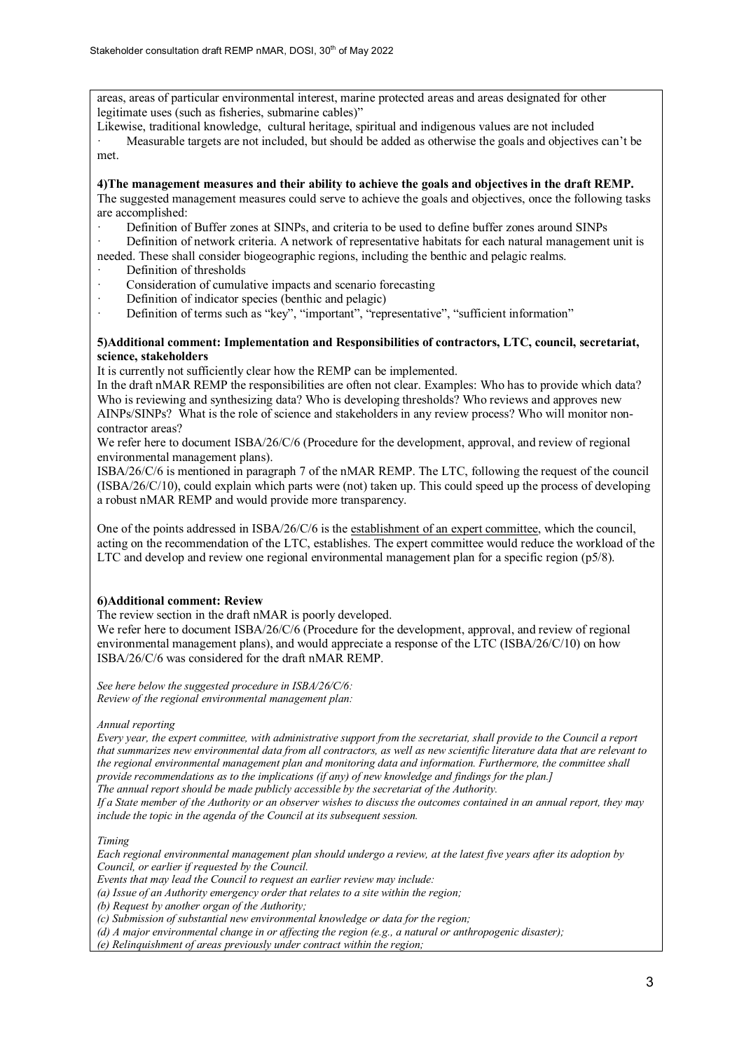areas, areas of particular environmental interest, marine protected areas and areas designated for other legitimate uses (such as fisheries, submarine cables)"

Likewise, traditional knowledge, cultural heritage, spiritual and indigenous values are not included

Measurable targets are not included, but should be added as otherwise the goals and objectives can't be met.

**4)The management measures and their ability to achieve the goals and objectives in the draft REMP.** The suggested management measures could serve to achieve the goals and objectives, once the following tasks are accomplished:

Definition of Buffer zones at SINPs, and criteria to be used to define buffer zones around SINPs

Definition of network criteria. A network of representative habitats for each natural management unit is needed. These shall consider biogeographic regions, including the benthic and pelagic realms.

- Definition of thresholds
- Consideration of cumulative impacts and scenario forecasting
- **·** Definition of indicator species (benthic and pelagic)
- Definition of terms such as "key", "important", "representative", "sufficient information"

#### **5)Additional comment: Implementation and Responsibilities of contractors, LTC, council, secretariat, science, stakeholders**

It is currently not sufficiently clear how the REMP can be implemented.

In the draft nMAR REMP the responsibilities are often not clear. Examples: Who has to provide which data? Who is reviewing and synthesizing data? Who is developing thresholds? Who reviews and approves new AINPs/SINPs? What is the role of science and stakeholders in any review process? Who will monitor noncontractor areas?

We refer here to document ISBA/26/C/6 (Procedure for the development, approval, and review of regional environmental management plans).

ISBA/26/C/6 is mentioned in paragraph 7 of the nMAR REMP. The LTC, following the request of the council (ISBA/26/C/10), could explain which parts were (not) taken up. This could speed up the process of developing a robust nMAR REMP and would provide more transparency.

One of the points addressed in ISBA/26/C/6 is the establishment of an expert committee, which the council, acting on the recommendation of the LTC, establishes. The expert committee would reduce the workload of the LTC and develop and review one regional environmental management plan for a specific region (p5/8).

### **6)Additional comment: Review**

The review section in the draft nMAR is poorly developed.

We refer here to document ISBA/26/C/6 (Procedure for the development, approval, and review of regional environmental management plans), and would appreciate a response of the LTC (ISBA/26/C/10) on how ISBA/26/C/6 was considered for the draft nMAR REMP.

*See here below the suggested procedure in ISBA/26/C/6: Review of the regional environmental management plan:*

*Annual reporting*

*Every year, the expert committee, with administrative support from the secretariat, shall provide to the Council a report that summarizes new environmental data from all contractors, as well as new scientific literature data that are relevant to the regional environmental management plan and monitoring data and information. Furthermore, the committee shall provide recommendations as to the implications (if any) of new knowledge and findings for the plan.]*

*The annual report should be made publicly accessible by the secretariat of the Authority.*

*If a State member of the Authority or an observer wishes to discuss the outcomes contained in an annual report, they may include the topic in the agenda of the Council at its subsequent session.*

*Timing*

*Each regional environmental management plan should undergo a review, at the latest five years after its adoption by Council, or earlier if requested by the Council.*

*Events that may lead the Council to request an earlier review may include:*

*(a) Issue of an Authority emergency order that relates to a site within the region;*

*(b) Request by another organ of the Authority;*

*(c) Submission of substantial new environmental knowledge or data for the region;*

*(d) A major environmental change in or affecting the region (e.g., a natural or anthropogenic disaster);*

*(e) Relinquishment of areas previously under contract within the region;*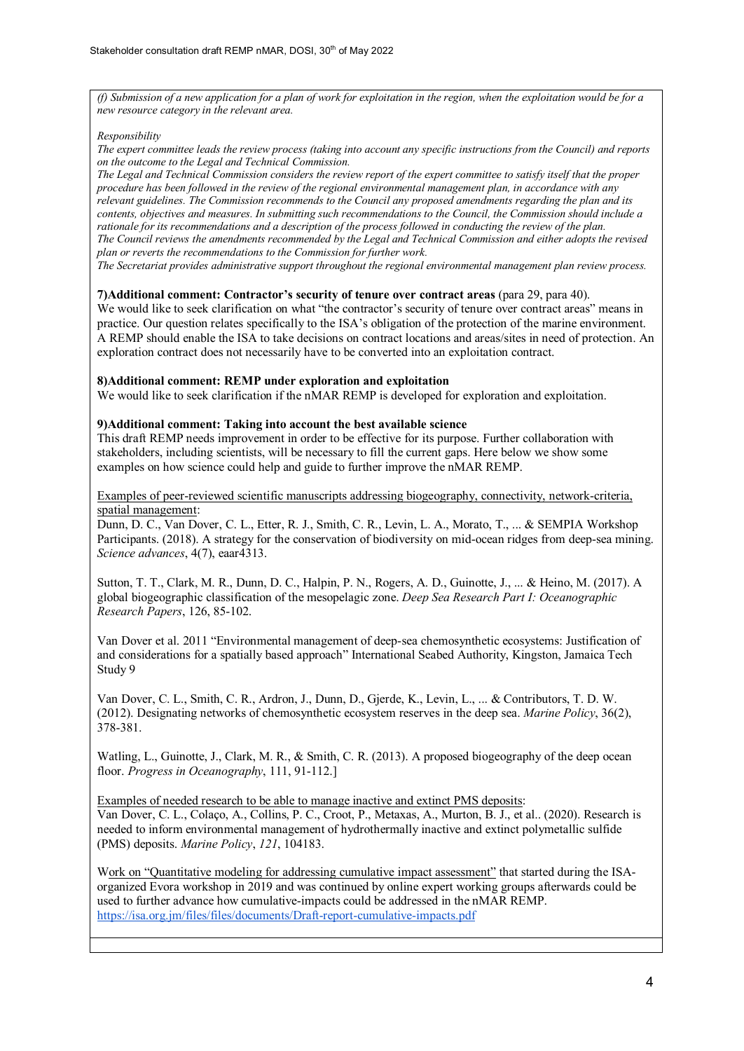*(f) Submission of a new application for a plan of work for exploitation in the region, when the exploitation would be for a new resource category in the relevant area.*

#### *Responsibility*

*The expert committee leads the review process (taking into account any specific instructions from the Council) and reports on the outcome to the Legal and Technical Commission.*

*The Legal and Technical Commission considers the review report of the expert committee to satisfy itself that the proper procedure has been followed in the review of the regional environmental management plan, in accordance with any relevant guidelines. The Commission recommends to the Council any proposed amendments regarding the plan and its contents, objectives and measures. In submitting such recommendations to the Council, the Commission should include a rationale for its recommendations and a description of the process followed in conducting the review of the plan. The Council reviews the amendments recommended by the Legal and Technical Commission and either adopts the revised plan or reverts the recommendations to the Commission for further work.*

*The Secretariat provides administrative support throughout the regional environmental management plan review process.*

#### **7)Additional comment: Contractor's security of tenure over contract areas** (para 29, para 40).

We would like to seek clarification on what "the contractor's security of tenure over contract areas" means in practice. Our question relates specifically to the ISA's obligation of the protection of the marine environment. A REMP should enable the ISA to take decisions on contract locations and areas/sites in need of protection. An exploration contract does not necessarily have to be converted into an exploitation contract.

#### **8)Additional comment: REMP under exploration and exploitation**

We would like to seek clarification if the nMAR REMP is developed for exploration and exploitation.

#### **9)Additional comment: Taking into account the best available science**

This draft REMP needs improvement in order to be effective for its purpose. Further collaboration with stakeholders, including scientists, will be necessary to fill the current gaps. Here below we show some examples on how science could help and guide to further improve the nMAR REMP.

#### Examples of peer-reviewed scientific manuscripts addressing biogeography, connectivity, network-criteria, spatial management:

Dunn, D. C., Van Dover, C. L., Etter, R. J., Smith, C. R., Levin, L. A., Morato, T., ... & SEMPIA Workshop Participants. (2018). A strategy for the conservation of biodiversity on mid-ocean ridges from deep-sea mining. *Science advances*, 4(7), eaar4313.

Sutton, T. T., Clark, M. R., Dunn, D. C., Halpin, P. N., Rogers, A. D., Guinotte, J., ... & Heino, M. (2017). A global biogeographic classification of the mesopelagic zone. *Deep Sea Research Part I: Oceanographic Research Papers*, 126, 85-102.

Van Dover et al. 2011 "Environmental management of deep-sea chemosynthetic ecosystems: Justification of and considerations for a spatially based approach" International Seabed Authority, Kingston, Jamaica Tech Study 9

Van Dover, C. L., Smith, C. R., Ardron, J., Dunn, D., Gjerde, K., Levin, L., ... & Contributors, T. D. W. (2012). Designating networks of chemosynthetic ecosystem reserves in the deep sea. *Marine Policy*, 36(2), 378-381.

Watling, L., Guinotte, J., Clark, M. R., & Smith, C. R. (2013). A proposed biogeography of the deep ocean floor. *Progress in Oceanography*, 111, 91-112.]

Examples of needed research to be able to manage inactive and extinct PMS deposits:

Van Dover, C. L., Colaço, A., Collins, P. C., Croot, P., Metaxas, A., Murton, B. J., et al.. (2020). Research is needed to inform environmental management of hydrothermally inactive and extinct polymetallic sulfide (PMS) deposits. *Marine Policy*, *121*, 104183.

Work on "Quantitative modeling for addressing cumulative impact assessment" that started during the ISAorganized Evora workshop in 2019 and was continued by online expert working groups afterwards could be used to further advance how cumulative-impacts could be addressed in the nMAR REMP. <https://isa.org.jm/files/files/documents/Draft-report-cumulative-impacts.pdf>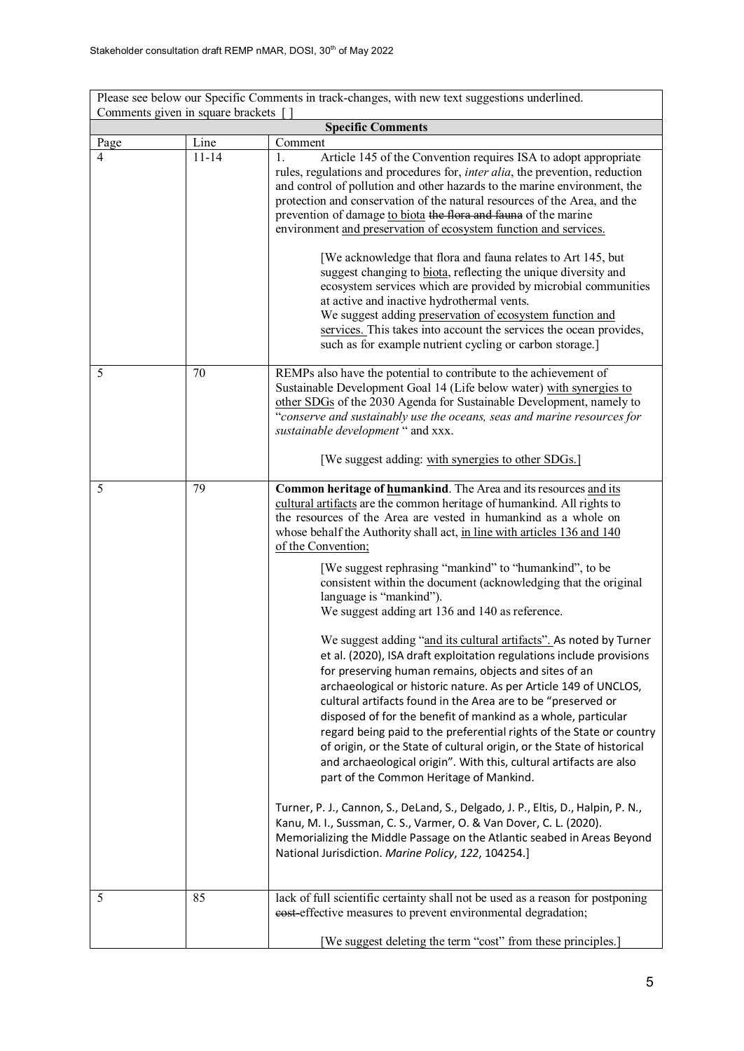| Please see below our Specific Comments in track-changes, with new text suggestions underlined. |           |                                                                                                                                                                                                                                                                                                                                                                                                                                                                                                                                                                                                                                                                                                                                                                                                                                                                                                                                                                                                                                                                                                                                                                                                                                                                                                                                                                                                                                                                                                      |  |
|------------------------------------------------------------------------------------------------|-----------|------------------------------------------------------------------------------------------------------------------------------------------------------------------------------------------------------------------------------------------------------------------------------------------------------------------------------------------------------------------------------------------------------------------------------------------------------------------------------------------------------------------------------------------------------------------------------------------------------------------------------------------------------------------------------------------------------------------------------------------------------------------------------------------------------------------------------------------------------------------------------------------------------------------------------------------------------------------------------------------------------------------------------------------------------------------------------------------------------------------------------------------------------------------------------------------------------------------------------------------------------------------------------------------------------------------------------------------------------------------------------------------------------------------------------------------------------------------------------------------------------|--|
| Comments given in square brackets []<br><b>Specific Comments</b>                               |           |                                                                                                                                                                                                                                                                                                                                                                                                                                                                                                                                                                                                                                                                                                                                                                                                                                                                                                                                                                                                                                                                                                                                                                                                                                                                                                                                                                                                                                                                                                      |  |
| Page                                                                                           | Line      | Comment                                                                                                                                                                                                                                                                                                                                                                                                                                                                                                                                                                                                                                                                                                                                                                                                                                                                                                                                                                                                                                                                                                                                                                                                                                                                                                                                                                                                                                                                                              |  |
| 4                                                                                              | $11 - 14$ | Article 145 of the Convention requires ISA to adopt appropriate<br>1.<br>rules, regulations and procedures for, <i>inter alia</i> , the prevention, reduction<br>and control of pollution and other hazards to the marine environment, the<br>protection and conservation of the natural resources of the Area, and the<br>prevention of damage to biota the flora and fauna of the marine<br>environment and preservation of ecosystem function and services.<br>[We acknowledge that flora and fauna relates to Art 145, but<br>suggest changing to biota, reflecting the unique diversity and<br>ecosystem services which are provided by microbial communities<br>at active and inactive hydrothermal vents.<br>We suggest adding preservation of ecosystem function and<br>services. This takes into account the services the ocean provides,<br>such as for example nutrient cycling or carbon storage.]                                                                                                                                                                                                                                                                                                                                                                                                                                                                                                                                                                                       |  |
| 5                                                                                              | 70        | REMPs also have the potential to contribute to the achievement of<br>Sustainable Development Goal 14 (Life below water) with synergies to<br>other SDGs of the 2030 Agenda for Sustainable Development, namely to<br>"conserve and sustainably use the oceans, seas and marine resources for<br>sustainable development " and xxx.<br>[We suggest adding: with synergies to other SDGs.]                                                                                                                                                                                                                                                                                                                                                                                                                                                                                                                                                                                                                                                                                                                                                                                                                                                                                                                                                                                                                                                                                                             |  |
| 5                                                                                              | 79        | Common heritage of humankind. The Area and its resources and its<br>cultural artifacts are the common heritage of humankind. All rights to<br>the resources of the Area are vested in humankind as a whole on<br>whose behalf the Authority shall act, in line with articles 136 and 140<br>of the Convention;<br>[We suggest rephrasing "mankind" to "humankind", to be<br>consistent within the document (acknowledging that the original<br>language is "mankind").<br>We suggest adding art 136 and 140 as reference.<br>We suggest adding "and its cultural artifacts". As noted by Turner<br>et al. (2020), ISA draft exploitation regulations include provisions<br>for preserving human remains, objects and sites of an<br>archaeological or historic nature. As per Article 149 of UNCLOS,<br>cultural artifacts found in the Area are to be "preserved or<br>disposed of for the benefit of mankind as a whole, particular<br>regard being paid to the preferential rights of the State or country<br>of origin, or the State of cultural origin, or the State of historical<br>and archaeological origin". With this, cultural artifacts are also<br>part of the Common Heritage of Mankind.<br>Turner, P. J., Cannon, S., DeLand, S., Delgado, J. P., Eltis, D., Halpin, P. N.,<br>Kanu, M. I., Sussman, C. S., Varmer, O. & Van Dover, C. L. (2020).<br>Memorializing the Middle Passage on the Atlantic seabed in Areas Beyond<br>National Jurisdiction. Marine Policy, 122, 104254.] |  |
| 5                                                                                              | 85        | lack of full scientific certainty shall not be used as a reason for postponing<br>eost-effective measures to prevent environmental degradation;<br>[We suggest deleting the term "cost" from these principles.]                                                                                                                                                                                                                                                                                                                                                                                                                                                                                                                                                                                                                                                                                                                                                                                                                                                                                                                                                                                                                                                                                                                                                                                                                                                                                      |  |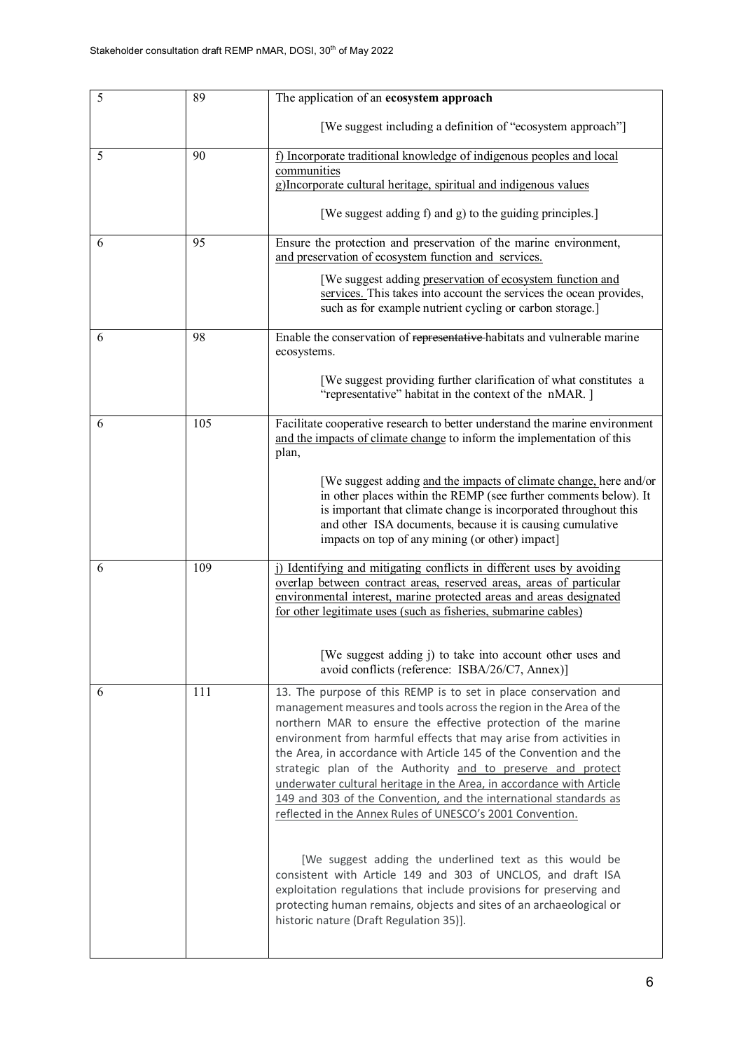| 5 | 89  | The application of an ecosystem approach                                                                                                                                                                                                                                                                                                                                                                                                                                                                                                                                                                                     |
|---|-----|------------------------------------------------------------------------------------------------------------------------------------------------------------------------------------------------------------------------------------------------------------------------------------------------------------------------------------------------------------------------------------------------------------------------------------------------------------------------------------------------------------------------------------------------------------------------------------------------------------------------------|
|   |     | [We suggest including a definition of "ecosystem approach"]                                                                                                                                                                                                                                                                                                                                                                                                                                                                                                                                                                  |
| 5 | 90  | f) Incorporate traditional knowledge of indigenous peoples and local<br>communities<br>g)Incorporate cultural heritage, spiritual and indigenous values                                                                                                                                                                                                                                                                                                                                                                                                                                                                      |
|   |     | [We suggest adding f) and g) to the guiding principles.]                                                                                                                                                                                                                                                                                                                                                                                                                                                                                                                                                                     |
| 6 | 95  | Ensure the protection and preservation of the marine environment,<br>and preservation of ecosystem function and services.                                                                                                                                                                                                                                                                                                                                                                                                                                                                                                    |
|   |     | [We suggest adding preservation of ecosystem function and<br>services. This takes into account the services the ocean provides,<br>such as for example nutrient cycling or carbon storage.]                                                                                                                                                                                                                                                                                                                                                                                                                                  |
| 6 | 98  | Enable the conservation of representative habitats and vulnerable marine<br>ecosystems.                                                                                                                                                                                                                                                                                                                                                                                                                                                                                                                                      |
|   |     | [We suggest providing further clarification of what constitutes a<br>"representative" habitat in the context of the nMAR. ]                                                                                                                                                                                                                                                                                                                                                                                                                                                                                                  |
| 6 | 105 | Facilitate cooperative research to better understand the marine environment<br>and the impacts of climate change to inform the implementation of this<br>plan,<br>[We suggest adding and the impacts of climate change, here and/or                                                                                                                                                                                                                                                                                                                                                                                          |
|   |     | in other places within the REMP (see further comments below). It<br>is important that climate change is incorporated throughout this<br>and other ISA documents, because it is causing cumulative<br>impacts on top of any mining (or other) impact]                                                                                                                                                                                                                                                                                                                                                                         |
| 6 | 109 | i) Identifying and mitigating conflicts in different uses by avoiding<br>overlap between contract areas, reserved areas, areas of particular<br>environmental interest, marine protected areas and areas designated<br>for other legitimate uses (such as fisheries, submarine cables)<br>[We suggest adding j) to take into account other uses and                                                                                                                                                                                                                                                                          |
|   |     | avoid conflicts (reference: ISBA/26/C7, Annex)]                                                                                                                                                                                                                                                                                                                                                                                                                                                                                                                                                                              |
| 6 | 111 | 13. The purpose of this REMP is to set in place conservation and<br>management measures and tools across the region in the Area of the<br>northern MAR to ensure the effective protection of the marine<br>environment from harmful effects that may arise from activities in<br>the Area, in accordance with Article 145 of the Convention and the<br>strategic plan of the Authority and to preserve and protect<br>underwater cultural heritage in the Area, in accordance with Article<br>149 and 303 of the Convention, and the international standards as<br>reflected in the Annex Rules of UNESCO's 2001 Convention. |
|   |     | [We suggest adding the underlined text as this would be<br>consistent with Article 149 and 303 of UNCLOS, and draft ISA<br>exploitation regulations that include provisions for preserving and<br>protecting human remains, objects and sites of an archaeological or<br>historic nature (Draft Regulation 35)].                                                                                                                                                                                                                                                                                                             |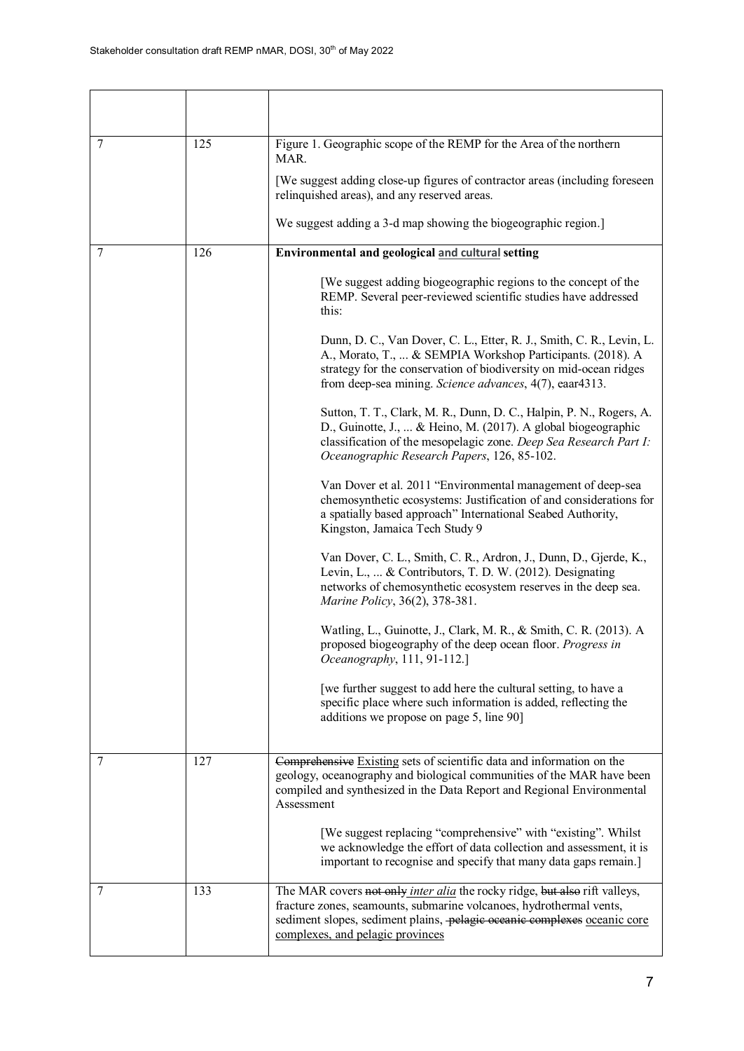| 7 | 125 | Figure 1. Geographic scope of the REMP for the Area of the northern<br>MAR.                                                                                                                                                                                        |
|---|-----|--------------------------------------------------------------------------------------------------------------------------------------------------------------------------------------------------------------------------------------------------------------------|
|   |     | [We suggest adding close-up figures of contractor areas (including foreseen<br>relinquished areas), and any reserved areas.                                                                                                                                        |
|   |     | We suggest adding a 3-d map showing the biogeographic region.]                                                                                                                                                                                                     |
| 7 | 126 | Environmental and geological and cultural setting                                                                                                                                                                                                                  |
|   |     | [We suggest adding biogeographic regions to the concept of the<br>REMP. Several peer-reviewed scientific studies have addressed<br>this:                                                                                                                           |
|   |     | Dunn, D. C., Van Dover, C. L., Etter, R. J., Smith, C. R., Levin, L.<br>A., Morato, T.,  & SEMPIA Workshop Participants. (2018). A<br>strategy for the conservation of biodiversity on mid-ocean ridges<br>from deep-sea mining. Science advances, 4(7), eaar4313. |
|   |     | Sutton, T. T., Clark, M. R., Dunn, D. C., Halpin, P. N., Rogers, A.<br>D., Guinotte, J.,  & Heino, M. (2017). A global biogeographic<br>classification of the mesopelagic zone. Deep Sea Research Part I:<br>Oceanographic Research Papers, 126, 85-102.           |
|   |     | Van Dover et al. 2011 "Environmental management of deep-sea<br>chemosynthetic ecosystems: Justification of and considerations for<br>a spatially based approach" International Seabed Authority,<br>Kingston, Jamaica Tech Study 9                                 |
|   |     | Van Dover, C. L., Smith, C. R., Ardron, J., Dunn, D., Gjerde, K.,<br>Levin, L.,  & Contributors, T. D. W. (2012). Designating<br>networks of chemosynthetic ecosystem reserves in the deep sea.<br>Marine Policy, 36(2), 378-381.                                  |
|   |     | Watling, L., Guinotte, J., Clark, M. R., & Smith, C. R. (2013). A<br>proposed biogeography of the deep ocean floor. Progress in<br>Oceanography, 111, 91-112.]                                                                                                     |
|   |     | [we further suggest to add here the cultural setting, to have a<br>specific place where such information is added, reflecting the<br>additions we propose on page 5, line 90]                                                                                      |
| 7 | 127 | Comprehensive Existing sets of scientific data and information on the<br>geology, oceanography and biological communities of the MAR have been<br>compiled and synthesized in the Data Report and Regional Environmental<br>Assessment                             |
|   |     | [We suggest replacing "comprehensive" with "existing". Whilst<br>we acknowledge the effort of data collection and assessment, it is<br>important to recognise and specify that many data gaps remain.]                                                             |
| 7 | 133 | The MAR covers not only inter alia the rocky ridge, but also rift valleys,<br>fracture zones, seamounts, submarine volcanoes, hydrothermal vents,<br>sediment slopes, sediment plains, pelagie oceanie complexes oceanic core<br>complexes, and pelagic provinces  |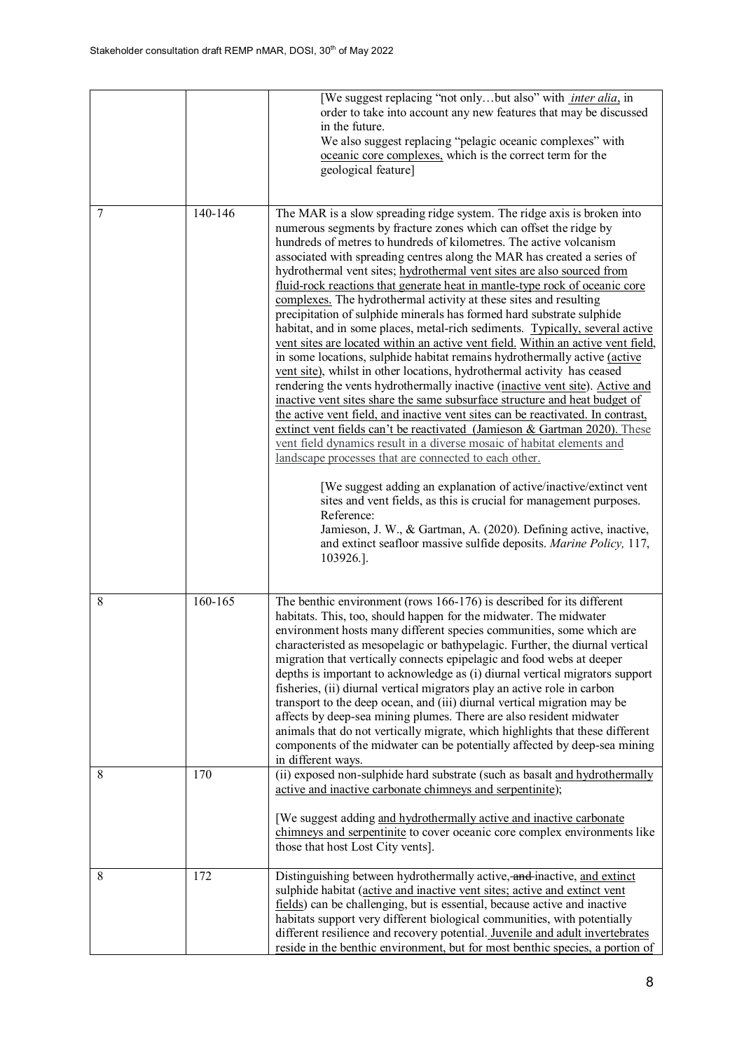|        |                | [We suggest replacing "not onlybut also" with <i>inter alia</i> , in<br>order to take into account any new features that may be discussed<br>in the future.<br>We also suggest replacing "pelagic oceanic complexes" with<br>oceanic core complexes, which is the correct term for the<br>geological feature]                                                                                                                                                                                                                                                                                                                                                                                                                                                                                                                                                                                                                                                                                                                                                                                                                                                                                                                                                                                                                                                                                                                                                                                                                                                                                                                                                                                                      |
|--------|----------------|--------------------------------------------------------------------------------------------------------------------------------------------------------------------------------------------------------------------------------------------------------------------------------------------------------------------------------------------------------------------------------------------------------------------------------------------------------------------------------------------------------------------------------------------------------------------------------------------------------------------------------------------------------------------------------------------------------------------------------------------------------------------------------------------------------------------------------------------------------------------------------------------------------------------------------------------------------------------------------------------------------------------------------------------------------------------------------------------------------------------------------------------------------------------------------------------------------------------------------------------------------------------------------------------------------------------------------------------------------------------------------------------------------------------------------------------------------------------------------------------------------------------------------------------------------------------------------------------------------------------------------------------------------------------------------------------------------------------|
| 7      | 140-146        | The MAR is a slow spreading ridge system. The ridge axis is broken into<br>numerous segments by fracture zones which can offset the ridge by<br>hundreds of metres to hundreds of kilometres. The active volcanism<br>associated with spreading centres along the MAR has created a series of<br>hydrothermal vent sites; hydrothermal vent sites are also sourced from<br>fluid-rock reactions that generate heat in mantle-type rock of oceanic core<br>complexes. The hydrothermal activity at these sites and resulting<br>precipitation of sulphide minerals has formed hard substrate sulphide<br>habitat, and in some places, metal-rich sediments. Typically, several active<br>vent sites are located within an active vent field. Within an active vent field,<br>in some locations, sulphide habitat remains hydrothermally active (active<br>vent site), whilst in other locations, hydrothermal activity has ceased<br>rendering the vents hydrothermally inactive (inactive vent site). Active and<br>inactive vent sites share the same subsurface structure and heat budget of<br>the active vent field, and inactive vent sites can be reactivated. In contrast,<br>extinct vent fields can't be reactivated (Jamieson & Gartman 2020). These<br>vent field dynamics result in a diverse mosaic of habitat elements and<br>landscape processes that are connected to each other.<br>[We suggest adding an explanation of active/inactive/extinct vent<br>sites and vent fields, as this is crucial for management purposes.<br>Reference:<br>Jamieson, J. W., & Gartman, A. (2020). Defining active, inactive,<br>and extinct seafloor massive sulfide deposits. Marine Policy, 117,<br>103926.]. |
| 8<br>8 | 160-165<br>170 | The benthic environment (rows 166-176) is described for its different<br>habitats. This, too, should happen for the midwater. The midwater<br>environment hosts many different species communities, some which are<br>characteristed as mesopelagic or bathypelagic. Further, the diurnal vertical<br>migration that vertically connects epipelagic and food webs at deeper<br>depths is important to acknowledge as (i) diurnal vertical migrators support<br>fisheries, (ii) diurnal vertical migrators play an active role in carbon<br>transport to the deep ocean, and (iii) diurnal vertical migration may be<br>affects by deep-sea mining plumes. There are also resident midwater<br>animals that do not vertically migrate, which highlights that these different<br>components of the midwater can be potentially affected by deep-sea mining<br>in different ways.<br>(ii) exposed non-sulphide hard substrate (such as basalt and hydrothermally                                                                                                                                                                                                                                                                                                                                                                                                                                                                                                                                                                                                                                                                                                                                                      |
|        |                | active and inactive carbonate chimneys and serpentinite);<br>[We suggest adding and hydrothermally active and inactive carbonate<br>chimneys and serpentinite to cover oceanic core complex environments like<br>those that host Lost City vents].                                                                                                                                                                                                                                                                                                                                                                                                                                                                                                                                                                                                                                                                                                                                                                                                                                                                                                                                                                                                                                                                                                                                                                                                                                                                                                                                                                                                                                                                 |
| 8      | 172            | Distinguishing between hydrothermally active, and inactive, and extinct<br>sulphide habitat (active and inactive vent sites; active and extinct vent<br>fields) can be challenging, but is essential, because active and inactive<br>habitats support very different biological communities, with potentially<br>different resilience and recovery potential. Juvenile and adult invertebrates<br>reside in the benthic environment, but for most benthic species, a portion of                                                                                                                                                                                                                                                                                                                                                                                                                                                                                                                                                                                                                                                                                                                                                                                                                                                                                                                                                                                                                                                                                                                                                                                                                                    |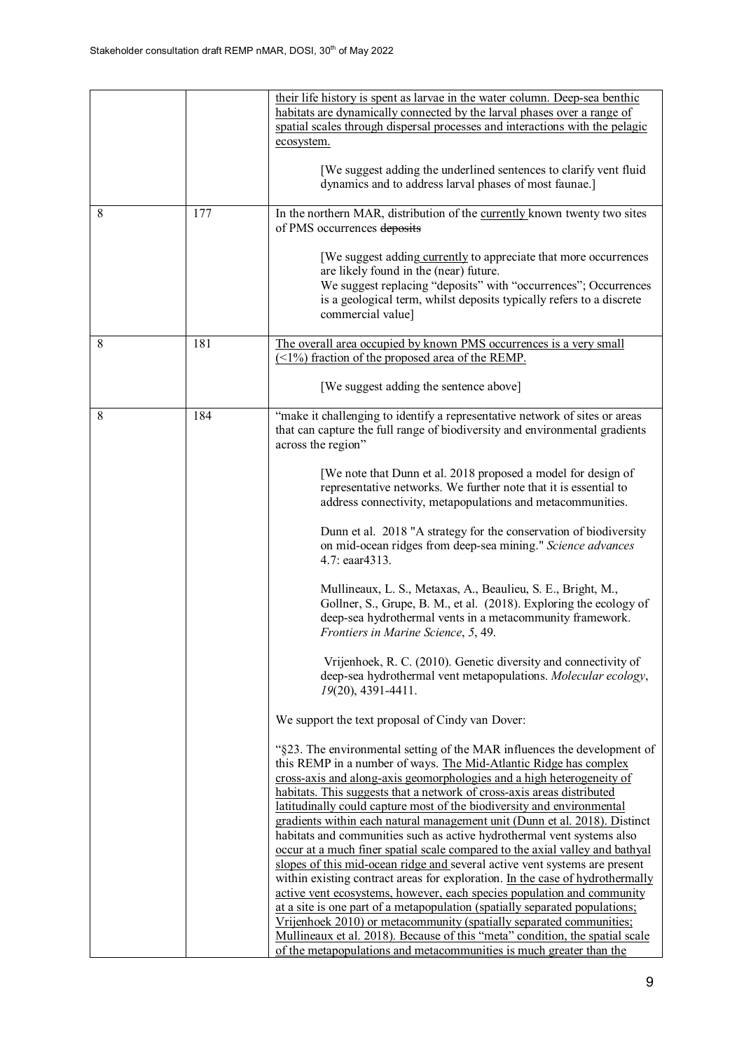|   |     | their life history is spent as larvae in the water column. Deep-sea benthic<br>habitats are dynamically connected by the larval phases over a range of<br>spatial scales through dispersal processes and interactions with the pelagic<br>ecosystem.<br>[We suggest adding the underlined sentences to clarify vent fluid<br>dynamics and to address larval phases of most faunae.]                                                                                                                                                                                                                                                                                                                                                                                                                                                                                                                                                                                                                                                                                                                                                                                                                                                                                                                                                                                                                                                                                                                                                                                                                                                                                                                                                                                                                                                                                                                                                                                                                                                                                                                                                                                            |
|---|-----|--------------------------------------------------------------------------------------------------------------------------------------------------------------------------------------------------------------------------------------------------------------------------------------------------------------------------------------------------------------------------------------------------------------------------------------------------------------------------------------------------------------------------------------------------------------------------------------------------------------------------------------------------------------------------------------------------------------------------------------------------------------------------------------------------------------------------------------------------------------------------------------------------------------------------------------------------------------------------------------------------------------------------------------------------------------------------------------------------------------------------------------------------------------------------------------------------------------------------------------------------------------------------------------------------------------------------------------------------------------------------------------------------------------------------------------------------------------------------------------------------------------------------------------------------------------------------------------------------------------------------------------------------------------------------------------------------------------------------------------------------------------------------------------------------------------------------------------------------------------------------------------------------------------------------------------------------------------------------------------------------------------------------------------------------------------------------------------------------------------------------------------------------------------------------------|
| 8 | 177 | In the northern MAR, distribution of the currently known twenty two sites<br>of PMS occurrences deposits<br>[We suggest adding currently to appreciate that more occurrences<br>are likely found in the (near) future.<br>We suggest replacing "deposits" with "occurrences"; Occurrences<br>is a geological term, whilst deposits typically refers to a discrete<br>commercial value]                                                                                                                                                                                                                                                                                                                                                                                                                                                                                                                                                                                                                                                                                                                                                                                                                                                                                                                                                                                                                                                                                                                                                                                                                                                                                                                                                                                                                                                                                                                                                                                                                                                                                                                                                                                         |
| 8 | 181 | The overall area occupied by known PMS occurrences is a very small<br>$(\leq 1\%)$ fraction of the proposed area of the REMP.<br>[We suggest adding the sentence above]                                                                                                                                                                                                                                                                                                                                                                                                                                                                                                                                                                                                                                                                                                                                                                                                                                                                                                                                                                                                                                                                                                                                                                                                                                                                                                                                                                                                                                                                                                                                                                                                                                                                                                                                                                                                                                                                                                                                                                                                        |
| 8 | 184 | "make it challenging to identify a representative network of sites or areas<br>that can capture the full range of biodiversity and environmental gradients<br>across the region"<br>[We note that Dunn et al. 2018 proposed a model for design of<br>representative networks. We further note that it is essential to<br>address connectivity, metapopulations and metacommunities.<br>Dunn et al. 2018 "A strategy for the conservation of biodiversity<br>on mid-ocean ridges from deep-sea mining." Science advances<br>4.7: eaar4313.<br>Mullineaux, L. S., Metaxas, A., Beaulieu, S. E., Bright, M.,<br>Gollner, S., Grupe, B. M., et al. (2018). Exploring the ecology of<br>deep-sea hydrothermal vents in a metacommunity framework.<br>Frontiers in Marine Science, 5, 49.<br>Vrijenhoek, R. C. (2010). Genetic diversity and connectivity of<br>deep-sea hydrothermal vent metapopulations. Molecular ecology,<br>19(20), 4391-4411.<br>We support the text proposal of Cindy van Dover:<br>"§23. The environmental setting of the MAR influences the development of<br>this REMP in a number of ways. The Mid-Atlantic Ridge has complex<br>cross-axis and along-axis geomorphologies and a high heterogeneity of<br>habitats. This suggests that a network of cross-axis areas distributed<br>latitudinally could capture most of the biodiversity and environmental<br>gradients within each natural management unit (Dunn et al. 2018). Distinct<br>habitats and communities such as active hydrothermal vent systems also<br>occur at a much finer spatial scale compared to the axial valley and bathyal<br>slopes of this mid-ocean ridge and several active vent systems are present<br>within existing contract areas for exploration. In the case of hydrothermally<br>active vent ecosystems, however, each species population and community<br>at a site is one part of a metapopulation (spatially separated populations;<br>Vrijenhoek 2010) or metacommunity (spatially separated communities;<br>Mullineaux et al. 2018). Because of this "meta" condition, the spatial scale<br>of the metapopulations and metacommunities is much greater than the |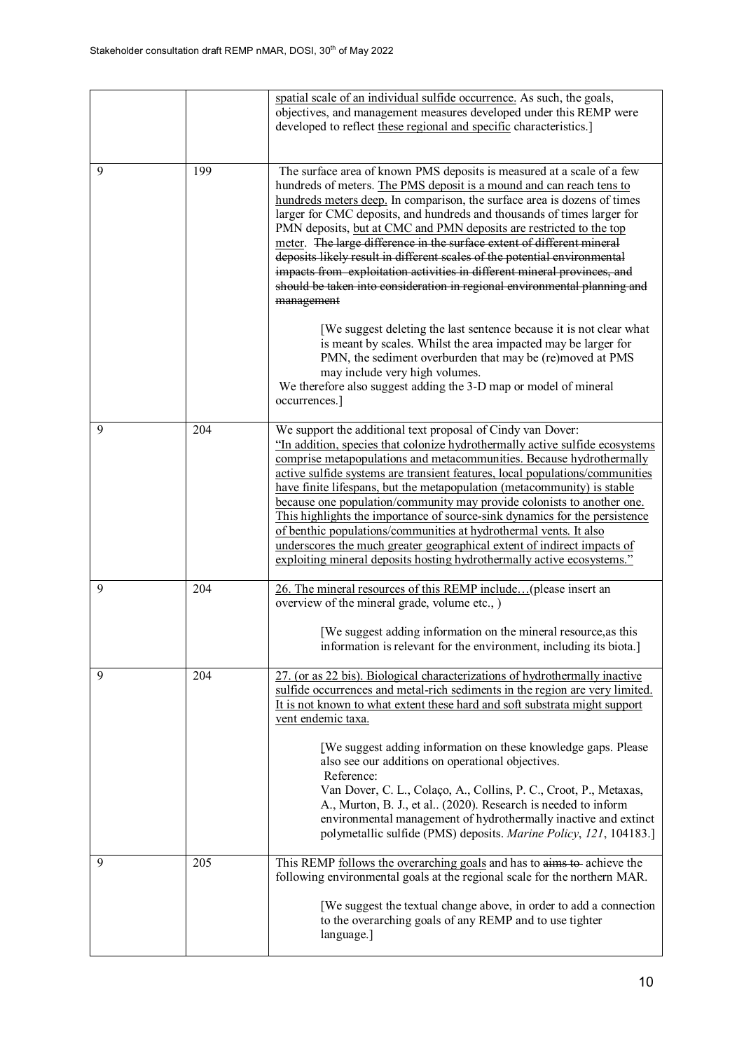|   |     | spatial scale of an individual sulfide occurrence. As such, the goals,<br>objectives, and management measures developed under this REMP were<br>developed to reflect these regional and specific characteristics.]                                                                                                                                                                                                                                                                                                                                                                                                                                                                                                                                               |
|---|-----|------------------------------------------------------------------------------------------------------------------------------------------------------------------------------------------------------------------------------------------------------------------------------------------------------------------------------------------------------------------------------------------------------------------------------------------------------------------------------------------------------------------------------------------------------------------------------------------------------------------------------------------------------------------------------------------------------------------------------------------------------------------|
| 9 | 199 | The surface area of known PMS deposits is measured at a scale of a few                                                                                                                                                                                                                                                                                                                                                                                                                                                                                                                                                                                                                                                                                           |
|   |     | hundreds of meters. The PMS deposit is a mound and can reach tens to<br>hundreds meters deep. In comparison, the surface area is dozens of times<br>larger for CMC deposits, and hundreds and thousands of times larger for<br>PMN deposits, but at CMC and PMN deposits are restricted to the top<br>meter. The large difference in the surface extent of different mineral<br>deposits likely result in different scales of the potential environmental<br>impacts from exploitation activities in different mineral provinces, and<br>should be taken into consideration in regional environmental planning and<br>management                                                                                                                                 |
|   |     | [We suggest deleting the last sentence because it is not clear what<br>is meant by scales. Whilst the area impacted may be larger for<br>PMN, the sediment overburden that may be (re)moved at PMS<br>may include very high volumes.<br>We therefore also suggest adding the 3-D map or model of mineral<br>occurrences.]                                                                                                                                                                                                                                                                                                                                                                                                                                        |
| 9 | 204 | We support the additional text proposal of Cindy van Dover:<br>"In addition, species that colonize hydrothermally active sulfide ecosystems<br>comprise metapopulations and metacommunities. Because hydrothermally<br>active sulfide systems are transient features, local populations/communities<br>have finite lifespans, but the metapopulation (metacommunity) is stable<br>because one population/community may provide colonists to another one.<br>This highlights the importance of source-sink dynamics for the persistence<br>of benthic populations/communities at hydrothermal vents. It also<br>underscores the much greater geographical extent of indirect impacts of<br>exploiting mineral deposits hosting hydrothermally active ecosystems." |
| 9 | 204 | 26. The mineral resources of this REMP include(please insert an<br>overview of the mineral grade, volume etc., )<br>[We suggest adding information on the mineral resource, as this<br>information is relevant for the environment, including its biota.]                                                                                                                                                                                                                                                                                                                                                                                                                                                                                                        |
| 9 | 204 | 27. (or as 22 bis). Biological characterizations of hydrothermally inactive<br>sulfide occurrences and metal-rich sediments in the region are very limited.<br>It is not known to what extent these hard and soft substrata might support<br>vent endemic taxa.<br>[We suggest adding information on these knowledge gaps. Please<br>also see our additions on operational objectives.<br>Reference:<br>Van Dover, C. L., Colaço, A., Collins, P. C., Croot, P., Metaxas,<br>A., Murton, B. J., et al (2020). Research is needed to inform<br>environmental management of hydrothermally inactive and extinct<br>polymetallic sulfide (PMS) deposits. Marine Policy, 121, 104183.]                                                                               |
| 9 | 205 | This REMP follows the overarching goals and has to aims to achieve the<br>following environmental goals at the regional scale for the northern MAR.<br>[We suggest the textual change above, in order to add a connection<br>to the overarching goals of any REMP and to use tighter<br>language.]                                                                                                                                                                                                                                                                                                                                                                                                                                                               |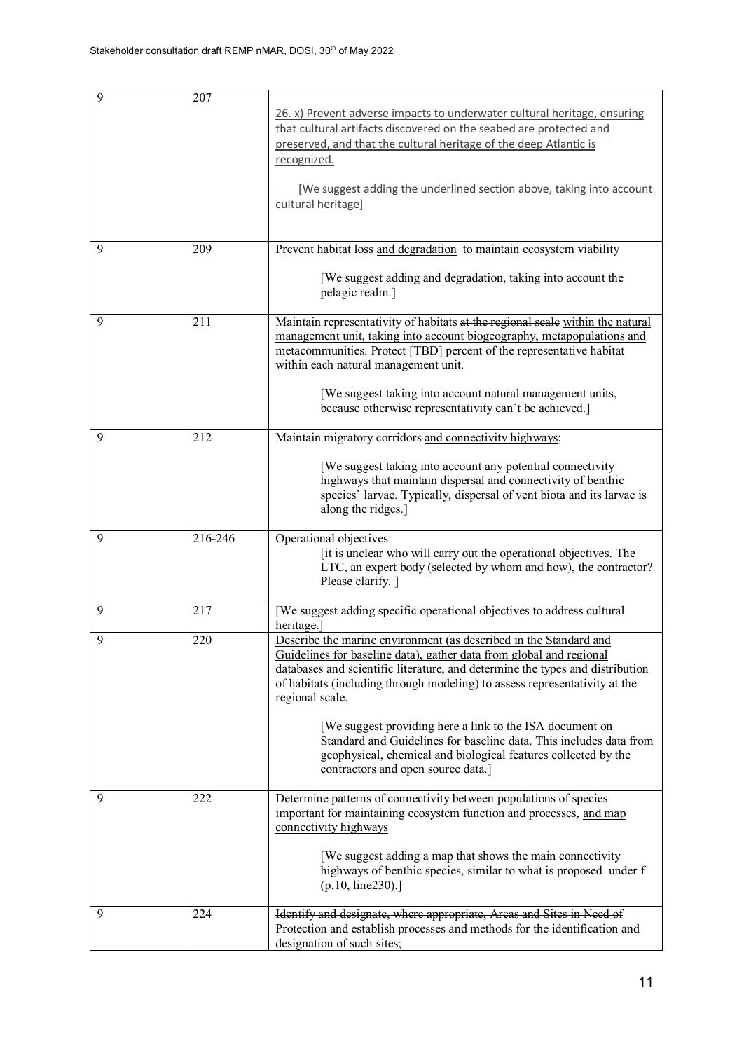| 9 | 207     | 26. x) Prevent adverse impacts to underwater cultural heritage, ensuring<br>that cultural artifacts discovered on the seabed are protected and<br>preserved, and that the cultural heritage of the deep Atlantic is<br>recognized.<br>[We suggest adding the underlined section above, taking into account<br>cultural heritage]                                                                                                                                                                                                                                     |
|---|---------|----------------------------------------------------------------------------------------------------------------------------------------------------------------------------------------------------------------------------------------------------------------------------------------------------------------------------------------------------------------------------------------------------------------------------------------------------------------------------------------------------------------------------------------------------------------------|
| 9 | 209     | Prevent habitat loss and degradation to maintain ecosystem viability<br>[We suggest adding and degradation, taking into account the<br>pelagic realm.]                                                                                                                                                                                                                                                                                                                                                                                                               |
| 9 | 211     | Maintain representativity of habitats at the regional scale within the natural<br>management unit, taking into account biogeography, metapopulations and<br>metacommunities. Protect [TBD] percent of the representative habitat<br>within each natural management unit.<br>[We suggest taking into account natural management units,<br>because otherwise representativity can't be achieved.]                                                                                                                                                                      |
| 9 | 212     | Maintain migratory corridors and connectivity highways;<br>[We suggest taking into account any potential connectivity<br>highways that maintain dispersal and connectivity of benthic<br>species' larvae. Typically, dispersal of vent biota and its larvae is<br>along the ridges.]                                                                                                                                                                                                                                                                                 |
| 9 | 216-246 | Operational objectives<br>[it is unclear who will carry out the operational objectives. The<br>LTC, an expert body (selected by whom and how), the contractor?<br>Please clarify. ]                                                                                                                                                                                                                                                                                                                                                                                  |
| 9 | 217     | [We suggest adding specific operational objectives to address cultural<br>heritage.                                                                                                                                                                                                                                                                                                                                                                                                                                                                                  |
| 9 | 220     | Describe the marine environment (as described in the Standard and<br>Guidelines for baseline data), gather data from global and regional<br>databases and scientific literature, and determine the types and distribution<br>of habitats (including through modeling) to assess representativity at the<br>regional scale.<br>[We suggest providing here a link to the ISA document on<br>Standard and Guidelines for baseline data. This includes data from<br>geophysical, chemical and biological features collected by the<br>contractors and open source data.] |
| 9 | 222     | Determine patterns of connectivity between populations of species<br>important for maintaining ecosystem function and processes, and map<br>connectivity highways<br>[We suggest adding a map that shows the main connectivity<br>highways of benthic species, similar to what is proposed under f<br>(p.10, line230).                                                                                                                                                                                                                                               |
| 9 | 224     | Identify and designate, where appropriate, Areas and Sites in Need of<br>Protection and establish processes and methods for the identification and<br>designation of such sites;                                                                                                                                                                                                                                                                                                                                                                                     |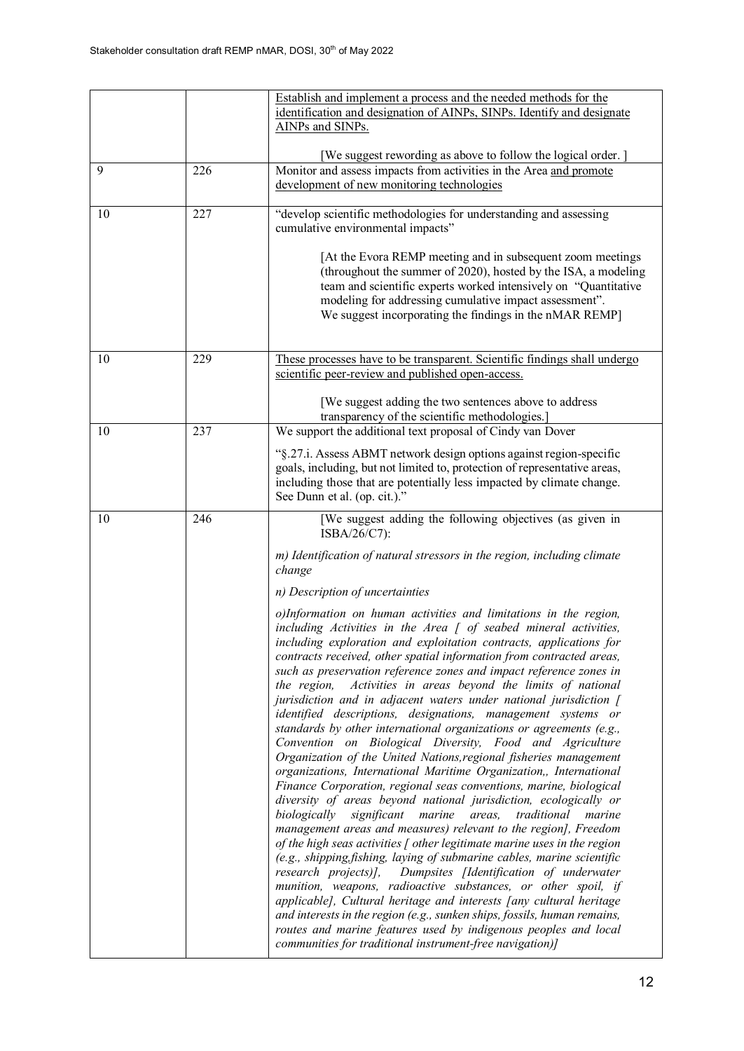|    |     | Establish and implement a process and the needed methods for the<br>identification and designation of AINPs, SINPs. Identify and designate<br>AINPs and SINPs.                                                                                                                                                                                                                                                                                                                                                                                                                                                                                                                                                                                                                                                                                                                                                                                                                                                                                                                                                                                                                                                                                                                                                                                                                                                                                                                                                                                                                                                                                                                                                                                                                                                                                                                                                                   |
|----|-----|----------------------------------------------------------------------------------------------------------------------------------------------------------------------------------------------------------------------------------------------------------------------------------------------------------------------------------------------------------------------------------------------------------------------------------------------------------------------------------------------------------------------------------------------------------------------------------------------------------------------------------------------------------------------------------------------------------------------------------------------------------------------------------------------------------------------------------------------------------------------------------------------------------------------------------------------------------------------------------------------------------------------------------------------------------------------------------------------------------------------------------------------------------------------------------------------------------------------------------------------------------------------------------------------------------------------------------------------------------------------------------------------------------------------------------------------------------------------------------------------------------------------------------------------------------------------------------------------------------------------------------------------------------------------------------------------------------------------------------------------------------------------------------------------------------------------------------------------------------------------------------------------------------------------------------|
| 9  | 226 | [We suggest rewording as above to follow the logical order.]<br>Monitor and assess impacts from activities in the Area and promote<br>development of new monitoring technologies                                                                                                                                                                                                                                                                                                                                                                                                                                                                                                                                                                                                                                                                                                                                                                                                                                                                                                                                                                                                                                                                                                                                                                                                                                                                                                                                                                                                                                                                                                                                                                                                                                                                                                                                                 |
| 10 | 227 | "develop scientific methodologies for understanding and assessing<br>cumulative environmental impacts"<br>[At the Evora REMP meeting and in subsequent zoom meetings<br>(throughout the summer of 2020), hosted by the ISA, a modeling<br>team and scientific experts worked intensively on "Quantitative<br>modeling for addressing cumulative impact assessment".<br>We suggest incorporating the findings in the nMAR REMP]                                                                                                                                                                                                                                                                                                                                                                                                                                                                                                                                                                                                                                                                                                                                                                                                                                                                                                                                                                                                                                                                                                                                                                                                                                                                                                                                                                                                                                                                                                   |
| 10 | 229 | These processes have to be transparent. Scientific findings shall undergo<br>scientific peer-review and published open-access.<br>[We suggest adding the two sentences above to address<br>transparency of the scientific methodologies.]                                                                                                                                                                                                                                                                                                                                                                                                                                                                                                                                                                                                                                                                                                                                                                                                                                                                                                                                                                                                                                                                                                                                                                                                                                                                                                                                                                                                                                                                                                                                                                                                                                                                                        |
| 10 | 237 | We support the additional text proposal of Cindy van Dover<br>"§.27.i. Assess ABMT network design options against region-specific<br>goals, including, but not limited to, protection of representative areas,<br>including those that are potentially less impacted by climate change.<br>See Dunn et al. (op. cit.)."                                                                                                                                                                                                                                                                                                                                                                                                                                                                                                                                                                                                                                                                                                                                                                                                                                                                                                                                                                                                                                                                                                                                                                                                                                                                                                                                                                                                                                                                                                                                                                                                          |
| 10 | 246 | [We suggest adding the following objectives (as given in<br>ISBA/26/C7):<br>m) Identification of natural stressors in the region, including climate<br>change<br>n) Description of uncertainties<br>o)Information on human activities and limitations in the region,<br>including Activities in the Area $\int$ of seabed mineral activities,<br>including exploration and exploitation contracts, applications for<br>contracts received, other spatial information from contracted areas,<br>such as preservation reference zones and impact reference zones in<br>Activities in areas beyond the limits of national<br>the region,<br>jurisdiction and in adjacent waters under national jurisdiction [<br>identified descriptions, designations, management systems or<br>standards by other international organizations or agreements (e.g.,<br>Convention on Biological Diversity, Food and Agriculture<br>Organization of the United Nations, regional fisheries management<br>organizations, International Maritime Organization,, International<br>Finance Corporation, regional seas conventions, marine, biological<br>diversity of areas beyond national jurisdiction, ecologically or<br>biologically<br>significant<br>marine<br>areas,<br>traditional<br>marine<br>management areas and measures) relevant to the region], Freedom<br>of the high seas activities $\int$ other legitimate marine uses in the region<br>(e.g., shipping, fishing, laying of submarine cables, marine scientific<br>research projects)], Dumpsites [Identification of underwater<br>munition, weapons, radioactive substances, or other spoil, if<br>applicable], Cultural heritage and interests [any cultural heritage<br>and interests in the region (e.g., sunken ships, fossils, human remains,<br>routes and marine features used by indigenous peoples and local<br>communities for traditional instrument-free navigation)] |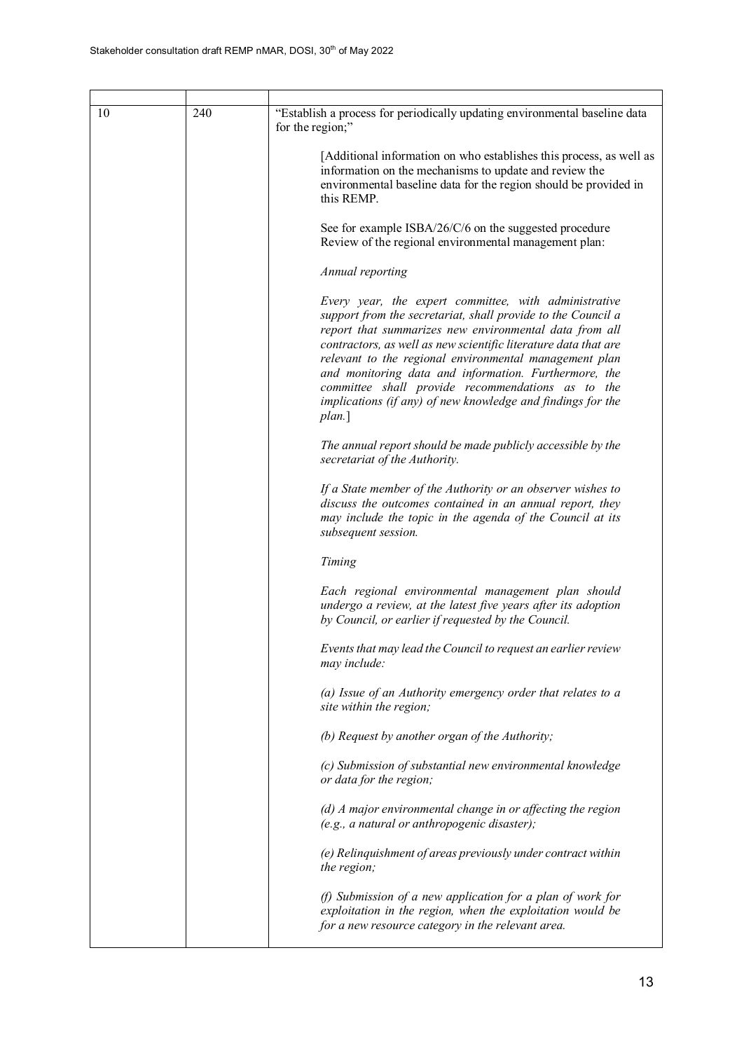| 10 | 240 | "Establish a process for periodically updating environmental baseline data<br>for the region;"                                                                                                                                                                                                                                                                                                                                                                                                      |
|----|-----|-----------------------------------------------------------------------------------------------------------------------------------------------------------------------------------------------------------------------------------------------------------------------------------------------------------------------------------------------------------------------------------------------------------------------------------------------------------------------------------------------------|
|    |     | [Additional information on who establishes this process, as well as<br>information on the mechanisms to update and review the<br>environmental baseline data for the region should be provided in<br>this REMP.                                                                                                                                                                                                                                                                                     |
|    |     | See for example ISBA/26/C/6 on the suggested procedure<br>Review of the regional environmental management plan:                                                                                                                                                                                                                                                                                                                                                                                     |
|    |     | Annual reporting                                                                                                                                                                                                                                                                                                                                                                                                                                                                                    |
|    |     | Every year, the expert committee, with administrative<br>support from the secretariat, shall provide to the Council a<br>report that summarizes new environmental data from all<br>contractors, as well as new scientific literature data that are<br>relevant to the regional environmental management plan<br>and monitoring data and information. Furthermore, the<br>committee shall provide recommendations as to the<br>implications (if any) of new knowledge and findings for the<br>plan.] |
|    |     | The annual report should be made publicly accessible by the<br>secretariat of the Authority.                                                                                                                                                                                                                                                                                                                                                                                                        |
|    |     | If a State member of the Authority or an observer wishes to<br>discuss the outcomes contained in an annual report, they<br>may include the topic in the agenda of the Council at its<br>subsequent session.                                                                                                                                                                                                                                                                                         |
|    |     | Timing                                                                                                                                                                                                                                                                                                                                                                                                                                                                                              |
|    |     | Each regional environmental management plan should<br>undergo a review, at the latest five years after its adoption<br>by Council, or earlier if requested by the Council.                                                                                                                                                                                                                                                                                                                          |
|    |     | Events that may lead the Council to request an earlier review<br>may include:                                                                                                                                                                                                                                                                                                                                                                                                                       |
|    |     | (a) Issue of an Authority emergency order that relates to a<br>site within the region;                                                                                                                                                                                                                                                                                                                                                                                                              |
|    |     | (b) Request by another organ of the Authority;                                                                                                                                                                                                                                                                                                                                                                                                                                                      |
|    |     | (c) Submission of substantial new environmental knowledge<br>or data for the region;                                                                                                                                                                                                                                                                                                                                                                                                                |
|    |     | (d) A major environmental change in or affecting the region<br>(e.g., a natural or anthropogenic disaster);                                                                                                                                                                                                                                                                                                                                                                                         |
|    |     | (e) Relinquishment of areas previously under contract within<br>the region;                                                                                                                                                                                                                                                                                                                                                                                                                         |
|    |     | (f) Submission of a new application for a plan of work for<br>exploitation in the region, when the exploitation would be<br>for a new resource category in the relevant area.                                                                                                                                                                                                                                                                                                                       |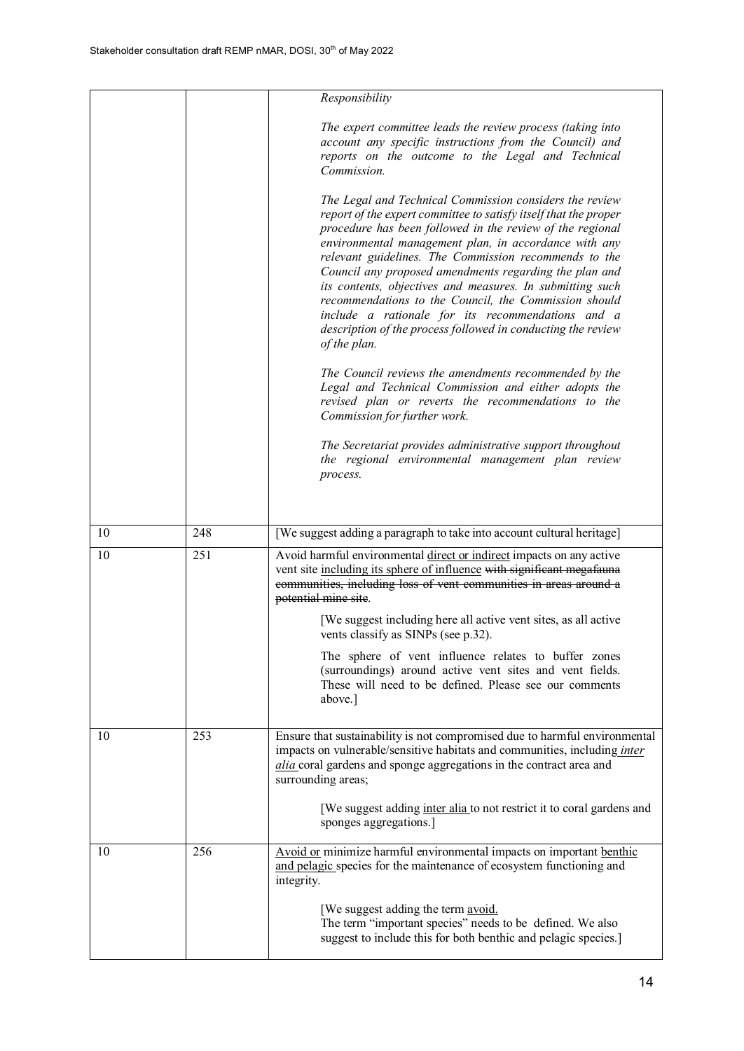|    |     | Responsibility                                                                                                                                                                                                                                                                                                                                                                                                                                                                                                                                                                                                                  |
|----|-----|---------------------------------------------------------------------------------------------------------------------------------------------------------------------------------------------------------------------------------------------------------------------------------------------------------------------------------------------------------------------------------------------------------------------------------------------------------------------------------------------------------------------------------------------------------------------------------------------------------------------------------|
|    |     | The expert committee leads the review process (taking into<br>account any specific instructions from the Council) and<br>reports on the outcome to the Legal and Technical<br>Commission.                                                                                                                                                                                                                                                                                                                                                                                                                                       |
|    |     | The Legal and Technical Commission considers the review<br>report of the expert committee to satisfy itself that the proper<br>procedure has been followed in the review of the regional<br>environmental management plan, in accordance with any<br>relevant guidelines. The Commission recommends to the<br>Council any proposed amendments regarding the plan and<br>its contents, objectives and measures. In submitting such<br>recommendations to the Council, the Commission should<br>include a rationale for its recommendations and a<br>description of the process followed in conducting the review<br>of the plan. |
|    |     | The Council reviews the amendments recommended by the<br>Legal and Technical Commission and either adopts the<br>revised plan or reverts the recommendations to the<br>Commission for further work.                                                                                                                                                                                                                                                                                                                                                                                                                             |
|    |     | The Secretariat provides administrative support throughout<br>the regional environmental management plan review<br>process.                                                                                                                                                                                                                                                                                                                                                                                                                                                                                                     |
|    |     |                                                                                                                                                                                                                                                                                                                                                                                                                                                                                                                                                                                                                                 |
| 10 | 248 | [We suggest adding a paragraph to take into account cultural heritage]                                                                                                                                                                                                                                                                                                                                                                                                                                                                                                                                                          |
| 10 | 251 | Avoid harmful environmental direct or indirect impacts on any active<br>vent site including its sphere of influence with significant megafauna<br>communities, including loss of vent communities in areas around a<br>potential mine site.                                                                                                                                                                                                                                                                                                                                                                                     |
|    |     | [We suggest including here all active vent sites, as all active<br>vents classify as SINPs (see p.32).                                                                                                                                                                                                                                                                                                                                                                                                                                                                                                                          |
|    |     | The sphere of vent influence relates to buffer zones<br>(surroundings) around active vent sites and vent fields.<br>These will need to be defined. Please see our comments<br>above.]                                                                                                                                                                                                                                                                                                                                                                                                                                           |
| 10 | 253 | Ensure that sustainability is not compromised due to harmful environmental<br>impacts on vulnerable/sensitive habitats and communities, including inter<br>alia coral gardens and sponge aggregations in the contract area and<br>surrounding areas;                                                                                                                                                                                                                                                                                                                                                                            |
|    |     | [We suggest adding inter alia to not restrict it to coral gardens and<br>sponges aggregations.]                                                                                                                                                                                                                                                                                                                                                                                                                                                                                                                                 |
| 10 | 256 | Avoid or minimize harmful environmental impacts on important benthic<br>and pelagic species for the maintenance of ecosystem functioning and<br>integrity.                                                                                                                                                                                                                                                                                                                                                                                                                                                                      |
|    |     | [We suggest adding the term avoid.<br>The term "important species" needs to be defined. We also<br>suggest to include this for both benthic and pelagic species.]                                                                                                                                                                                                                                                                                                                                                                                                                                                               |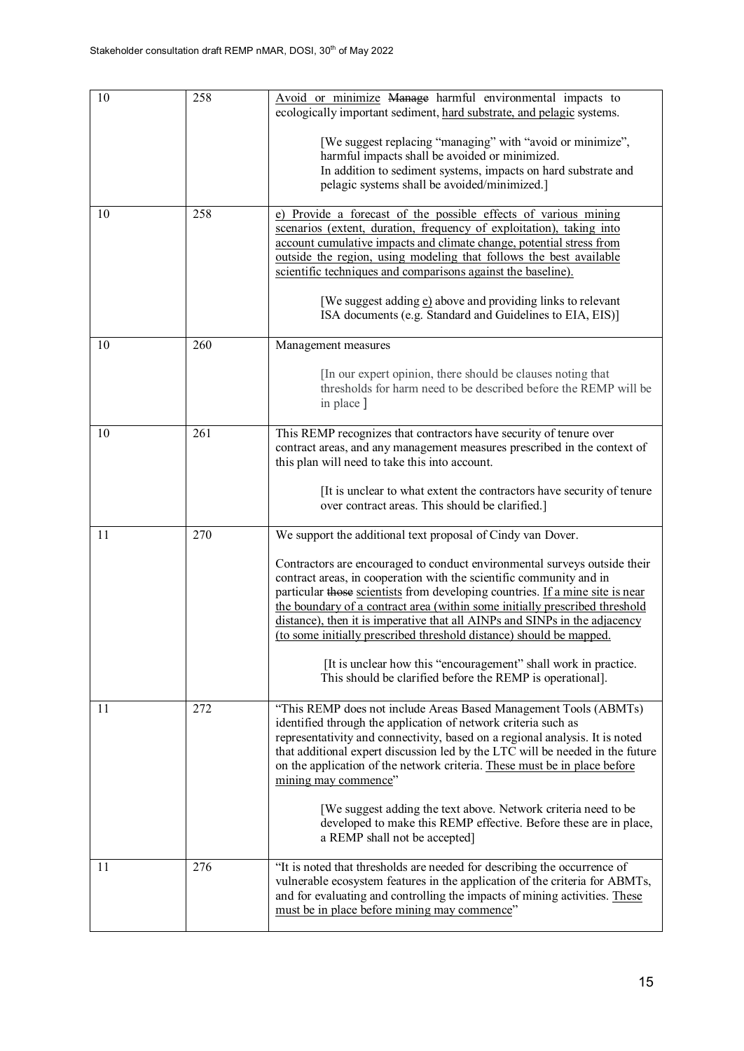| 10 | 258 | Avoid or minimize Manage harmful environmental impacts to<br>ecologically important sediment, hard substrate, and pelagic systems.                                                                                                                                                                                                                                                                                                                                                                                                       |
|----|-----|------------------------------------------------------------------------------------------------------------------------------------------------------------------------------------------------------------------------------------------------------------------------------------------------------------------------------------------------------------------------------------------------------------------------------------------------------------------------------------------------------------------------------------------|
|    |     | [We suggest replacing "managing" with "avoid or minimize",<br>harmful impacts shall be avoided or minimized.<br>In addition to sediment systems, impacts on hard substrate and<br>pelagic systems shall be avoided/minimized.]                                                                                                                                                                                                                                                                                                           |
| 10 | 258 |                                                                                                                                                                                                                                                                                                                                                                                                                                                                                                                                          |
|    |     | e) Provide a forecast of the possible effects of various mining<br>scenarios (extent, duration, frequency of exploitation), taking into<br>account cumulative impacts and climate change, potential stress from<br>outside the region, using modeling that follows the best available<br>scientific techniques and comparisons against the baseline).                                                                                                                                                                                    |
|    |     | [We suggest adding e] above and providing links to relevant<br>ISA documents (e.g. Standard and Guidelines to EIA, EIS)]                                                                                                                                                                                                                                                                                                                                                                                                                 |
| 10 | 260 | Management measures                                                                                                                                                                                                                                                                                                                                                                                                                                                                                                                      |
|    |     | [In our expert opinion, there should be clauses noting that<br>thresholds for harm need to be described before the REMP will be<br>in place ]                                                                                                                                                                                                                                                                                                                                                                                            |
| 10 | 261 | This REMP recognizes that contractors have security of tenure over<br>contract areas, and any management measures prescribed in the context of<br>this plan will need to take this into account.                                                                                                                                                                                                                                                                                                                                         |
|    |     | [It is unclear to what extent the contractors have security of tenure<br>over contract areas. This should be clarified.]                                                                                                                                                                                                                                                                                                                                                                                                                 |
| 11 | 270 | We support the additional text proposal of Cindy van Dover.                                                                                                                                                                                                                                                                                                                                                                                                                                                                              |
|    |     | Contractors are encouraged to conduct environmental surveys outside their<br>contract areas, in cooperation with the scientific community and in<br>particular those scientists from developing countries. If a mine site is near<br>the boundary of a contract area (within some initially prescribed threshold<br>distance), then it is imperative that all AINPs and SINPs in the adjacency<br>(to some initially prescribed threshold distance) should be mapped.<br>[It is unclear how this "encouragement" shall work in practice. |
|    |     | This should be clarified before the REMP is operational].                                                                                                                                                                                                                                                                                                                                                                                                                                                                                |
| 11 | 272 | "This REMP does not include Areas Based Management Tools (ABMTs)<br>identified through the application of network criteria such as<br>representativity and connectivity, based on a regional analysis. It is noted<br>that additional expert discussion led by the LTC will be needed in the future<br>on the application of the network criteria. These must be in place before<br>mining may commence"                                                                                                                                 |
|    |     | [We suggest adding the text above. Network criteria need to be<br>developed to make this REMP effective. Before these are in place,<br>a REMP shall not be accepted]                                                                                                                                                                                                                                                                                                                                                                     |
| 11 | 276 | "It is noted that thresholds are needed for describing the occurrence of<br>vulnerable ecosystem features in the application of the criteria for ABMTs,<br>and for evaluating and controlling the impacts of mining activities. These<br>must be in place before mining may commence"                                                                                                                                                                                                                                                    |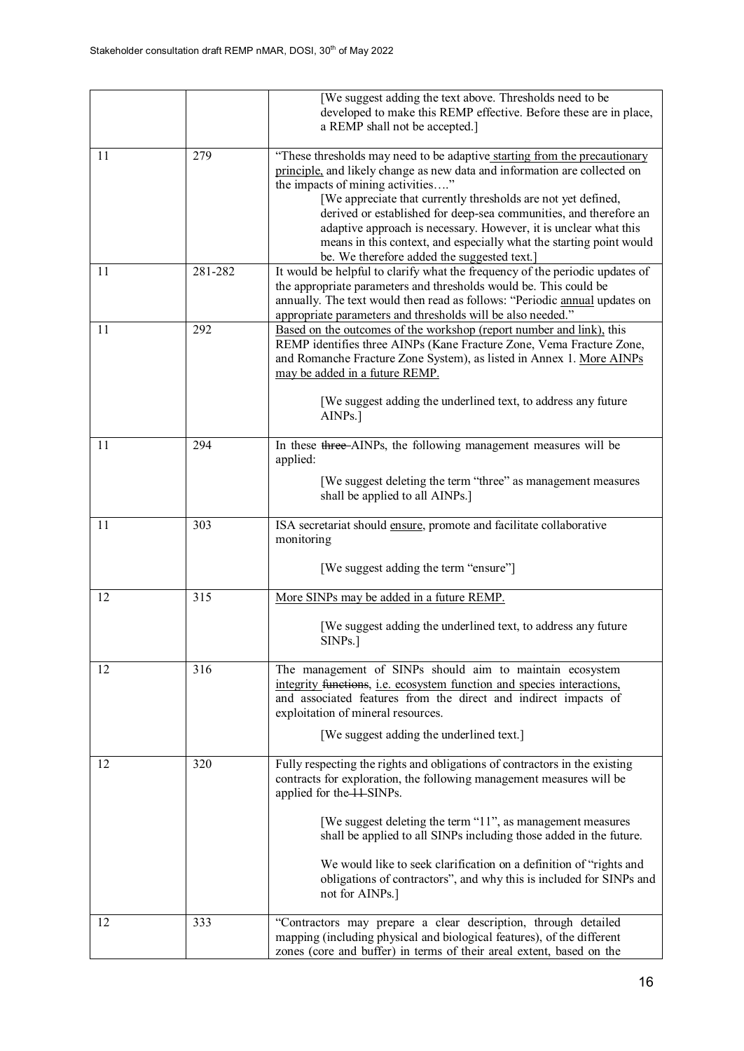|    |         | [We suggest adding the text above. Thresholds need to be<br>developed to make this REMP effective. Before these are in place,<br>a REMP shall not be accepted.]                                                                                                                                                                                                                                                                                                                                                            |
|----|---------|----------------------------------------------------------------------------------------------------------------------------------------------------------------------------------------------------------------------------------------------------------------------------------------------------------------------------------------------------------------------------------------------------------------------------------------------------------------------------------------------------------------------------|
| 11 | 279     | "These thresholds may need to be adaptive starting from the precautionary<br>principle, and likely change as new data and information are collected on<br>the impacts of mining activities"<br>[We appreciate that currently thresholds are not yet defined,<br>derived or established for deep-sea communities, and therefore an<br>adaptive approach is necessary. However, it is unclear what this<br>means in this context, and especially what the starting point would<br>be. We therefore added the suggested text. |
| 11 | 281-282 | It would be helpful to clarify what the frequency of the periodic updates of<br>the appropriate parameters and thresholds would be. This could be<br>annually. The text would then read as follows: "Periodic annual updates on<br>appropriate parameters and thresholds will be also needed."                                                                                                                                                                                                                             |
| 11 | 292     | Based on the outcomes of the workshop (report number and link), this<br>REMP identifies three AINPs (Kane Fracture Zone, Vema Fracture Zone,<br>and Romanche Fracture Zone System), as listed in Annex 1. More AINPs<br>may be added in a future REMP.<br>[We suggest adding the underlined text, to address any future<br>AINPs.]                                                                                                                                                                                         |
| 11 | 294     | In these three-AINPs, the following management measures will be<br>applied:<br>[We suggest deleting the term "three" as management measures<br>shall be applied to all AINPs.]                                                                                                                                                                                                                                                                                                                                             |
| 11 | 303     | ISA secretariat should ensure, promote and facilitate collaborative<br>monitoring<br>[We suggest adding the term "ensure"]                                                                                                                                                                                                                                                                                                                                                                                                 |
| 12 | 315     | More SINPs may be added in a future REMP.                                                                                                                                                                                                                                                                                                                                                                                                                                                                                  |
|    |         | [We suggest adding the underlined text, to address any future<br>SINPs.]                                                                                                                                                                                                                                                                                                                                                                                                                                                   |
| 12 | 316     | The management of SINPs should aim to maintain ecosystem<br>integrity functions, i.e. ecosystem function and species interactions,<br>and associated features from the direct and indirect impacts of<br>exploitation of mineral resources.<br>[We suggest adding the underlined text.]                                                                                                                                                                                                                                    |
| 12 | 320     | Fully respecting the rights and obligations of contractors in the existing<br>contracts for exploration, the following management measures will be<br>applied for the 11-SINPs.<br>[We suggest deleting the term "11", as management measures<br>shall be applied to all SINPs including those added in the future.<br>We would like to seek clarification on a definition of "rights and<br>obligations of contractors", and why this is included for SINPs and<br>not for AINPs.]                                        |
| 12 | 333     | "Contractors may prepare a clear description, through detailed<br>mapping (including physical and biological features), of the different<br>zones (core and buffer) in terms of their areal extent, based on the                                                                                                                                                                                                                                                                                                           |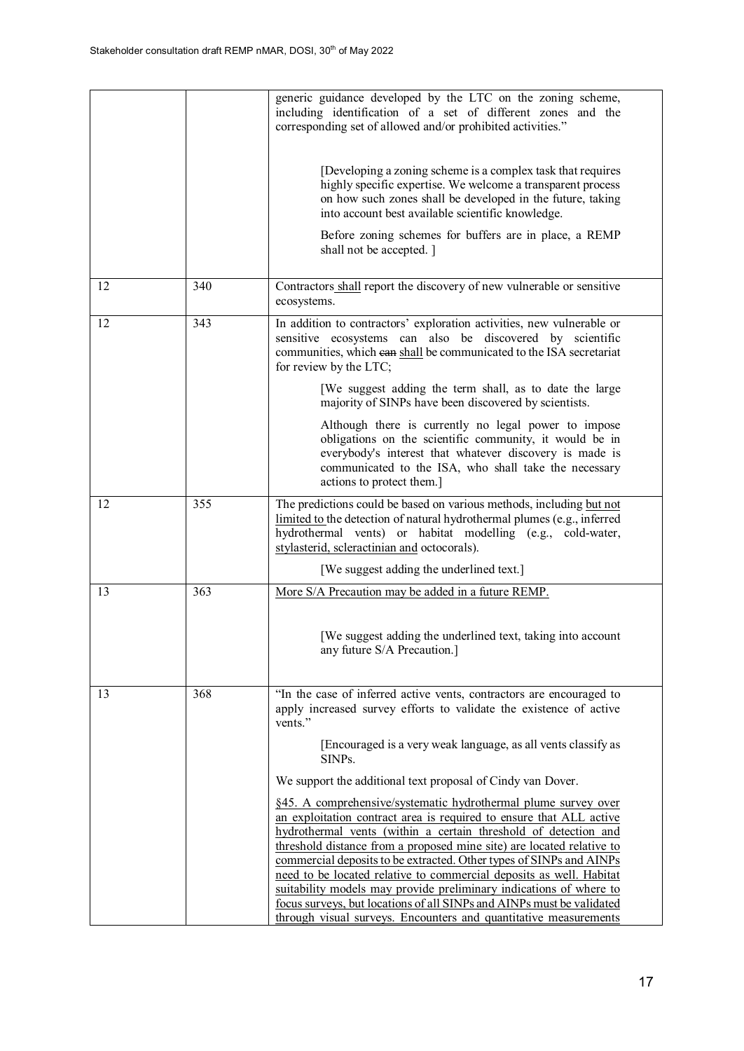|    |     | generic guidance developed by the LTC on the zoning scheme,<br>including identification of a set of different zones and the<br>corresponding set of allowed and/or prohibited activities."<br>[Developing a zoning scheme is a complex task that requires<br>highly specific expertise. We welcome a transparent process<br>on how such zones shall be developed in the future, taking<br>into account best available scientific knowledge.<br>Before zoning schemes for buffers are in place, a REMP<br>shall not be accepted. ]                                                                                                                  |
|----|-----|----------------------------------------------------------------------------------------------------------------------------------------------------------------------------------------------------------------------------------------------------------------------------------------------------------------------------------------------------------------------------------------------------------------------------------------------------------------------------------------------------------------------------------------------------------------------------------------------------------------------------------------------------|
| 12 | 340 | Contractors shall report the discovery of new vulnerable or sensitive<br>ecosystems.                                                                                                                                                                                                                                                                                                                                                                                                                                                                                                                                                               |
| 12 | 343 | In addition to contractors' exploration activities, new vulnerable or<br>sensitive ecosystems can also be discovered by scientific<br>communities, which ean shall be communicated to the ISA secretariat<br>for review by the LTC;<br>[We suggest adding the term shall, as to date the large                                                                                                                                                                                                                                                                                                                                                     |
|    |     | majority of SINPs have been discovered by scientists.                                                                                                                                                                                                                                                                                                                                                                                                                                                                                                                                                                                              |
|    |     | Although there is currently no legal power to impose<br>obligations on the scientific community, it would be in<br>everybody's interest that whatever discovery is made is<br>communicated to the ISA, who shall take the necessary<br>actions to protect them.]                                                                                                                                                                                                                                                                                                                                                                                   |
| 12 | 355 | The predictions could be based on various methods, including but not<br>limited to the detection of natural hydrothermal plumes (e.g., inferred<br>hydrothermal vents) or habitat modelling (e.g., cold-water,<br>stylasterid, scleractinian and octocorals).                                                                                                                                                                                                                                                                                                                                                                                      |
|    |     | [We suggest adding the underlined text.]                                                                                                                                                                                                                                                                                                                                                                                                                                                                                                                                                                                                           |
| 13 | 363 | More S/A Precaution may be added in a future REMP.                                                                                                                                                                                                                                                                                                                                                                                                                                                                                                                                                                                                 |
|    |     | [We suggest adding the underlined text, taking into account<br>any future S/A Precaution.]                                                                                                                                                                                                                                                                                                                                                                                                                                                                                                                                                         |
| 13 | 368 | "In the case of inferred active vents, contractors are encouraged to<br>apply increased survey efforts to validate the existence of active<br>vents."                                                                                                                                                                                                                                                                                                                                                                                                                                                                                              |
|    |     | [Encouraged is a very weak language, as all vents classify as<br>SINP <sub>s</sub> .                                                                                                                                                                                                                                                                                                                                                                                                                                                                                                                                                               |
|    |     | We support the additional text proposal of Cindy van Dover.                                                                                                                                                                                                                                                                                                                                                                                                                                                                                                                                                                                        |
|    |     | §45. A comprehensive/systematic hydrothermal plume survey over<br>an exploitation contract area is required to ensure that ALL active<br>hydrothermal vents (within a certain threshold of detection and<br>threshold distance from a proposed mine site) are located relative to<br>commercial deposits to be extracted. Other types of SINPs and AINPs<br>need to be located relative to commercial deposits as well. Habitat<br>suitability models may provide preliminary indications of where to<br>focus surveys, but locations of all SINPs and AINPs must be validated<br>through visual surveys. Encounters and quantitative measurements |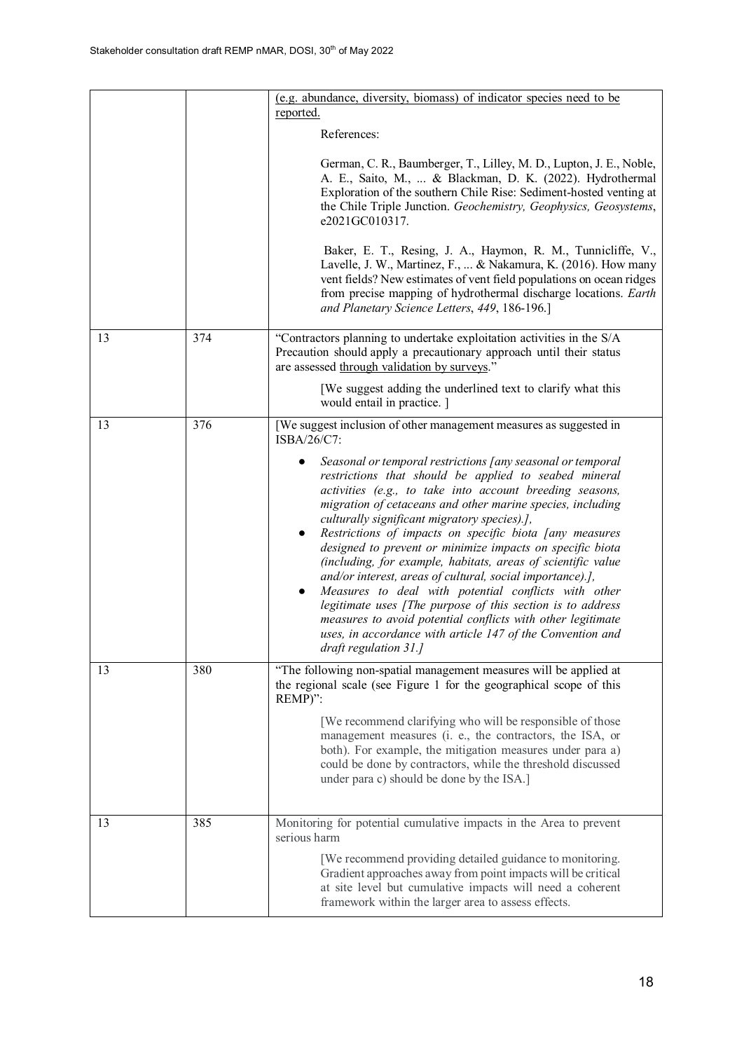|    |     | (e.g. abundance, diversity, biomass) of indicator species need to be<br>reported.                                                                                                                                                                                                                                                                                                                                                                                                                                                                                                                                                                                                                                                                                                                                                                         |
|----|-----|-----------------------------------------------------------------------------------------------------------------------------------------------------------------------------------------------------------------------------------------------------------------------------------------------------------------------------------------------------------------------------------------------------------------------------------------------------------------------------------------------------------------------------------------------------------------------------------------------------------------------------------------------------------------------------------------------------------------------------------------------------------------------------------------------------------------------------------------------------------|
|    |     | References:                                                                                                                                                                                                                                                                                                                                                                                                                                                                                                                                                                                                                                                                                                                                                                                                                                               |
|    |     | German, C. R., Baumberger, T., Lilley, M. D., Lupton, J. E., Noble,<br>A. E., Saito, M.,  & Blackman, D. K. (2022). Hydrothermal<br>Exploration of the southern Chile Rise: Sediment-hosted venting at<br>the Chile Triple Junction. Geochemistry, Geophysics, Geosystems,<br>e2021GC010317.                                                                                                                                                                                                                                                                                                                                                                                                                                                                                                                                                              |
|    |     | Baker, E. T., Resing, J. A., Haymon, R. M., Tunnicliffe, V.,<br>Lavelle, J. W., Martinez, F.,  & Nakamura, K. (2016). How many<br>vent fields? New estimates of vent field populations on ocean ridges<br>from precise mapping of hydrothermal discharge locations. Earth<br>and Planetary Science Letters, 449, 186-196.]                                                                                                                                                                                                                                                                                                                                                                                                                                                                                                                                |
| 13 | 374 | "Contractors planning to undertake exploitation activities in the S/A<br>Precaution should apply a precautionary approach until their status<br>are assessed through validation by surveys."                                                                                                                                                                                                                                                                                                                                                                                                                                                                                                                                                                                                                                                              |
|    |     | [We suggest adding the underlined text to clarify what this<br>would entail in practice. ]                                                                                                                                                                                                                                                                                                                                                                                                                                                                                                                                                                                                                                                                                                                                                                |
| 13 | 376 | [We suggest inclusion of other management measures as suggested in<br>ISBA/26/C7:                                                                                                                                                                                                                                                                                                                                                                                                                                                                                                                                                                                                                                                                                                                                                                         |
|    |     | Seasonal or temporal restrictions [any seasonal or temporal<br>restrictions that should be applied to seabed mineral<br>activities (e.g., to take into account breeding seasons,<br>migration of cetaceans and other marine species, including<br>culturally significant migratory species).],<br>Restrictions of impacts on specific biota [any measures<br>$\bullet$<br>designed to prevent or minimize impacts on specific biota<br>(including, for example, habitats, areas of scientific value<br>and/or interest, areas of cultural, social importance).],<br>Measures to deal with potential conflicts with other<br>$\bullet$<br>legitimate uses [The purpose of this section is to address<br>measures to avoid potential conflicts with other legitimate<br>uses, in accordance with article 147 of the Convention and<br>draft regulation 31.] |
| 13 | 380 | "The following non-spatial management measures will be applied at<br>the regional scale (see Figure 1 for the geographical scope of this<br>REMP)":                                                                                                                                                                                                                                                                                                                                                                                                                                                                                                                                                                                                                                                                                                       |
|    |     | [We recommend clarifying who will be responsible of those]<br>management measures (i. e., the contractors, the ISA, or<br>both). For example, the mitigation measures under para a)<br>could be done by contractors, while the threshold discussed<br>under para c) should be done by the ISA.]                                                                                                                                                                                                                                                                                                                                                                                                                                                                                                                                                           |
| 13 | 385 | Monitoring for potential cumulative impacts in the Area to prevent<br>serious harm                                                                                                                                                                                                                                                                                                                                                                                                                                                                                                                                                                                                                                                                                                                                                                        |
|    |     | [We recommend providing detailed guidance to monitoring.<br>Gradient approaches away from point impacts will be critical<br>at site level but cumulative impacts will need a coherent<br>framework within the larger area to assess effects.                                                                                                                                                                                                                                                                                                                                                                                                                                                                                                                                                                                                              |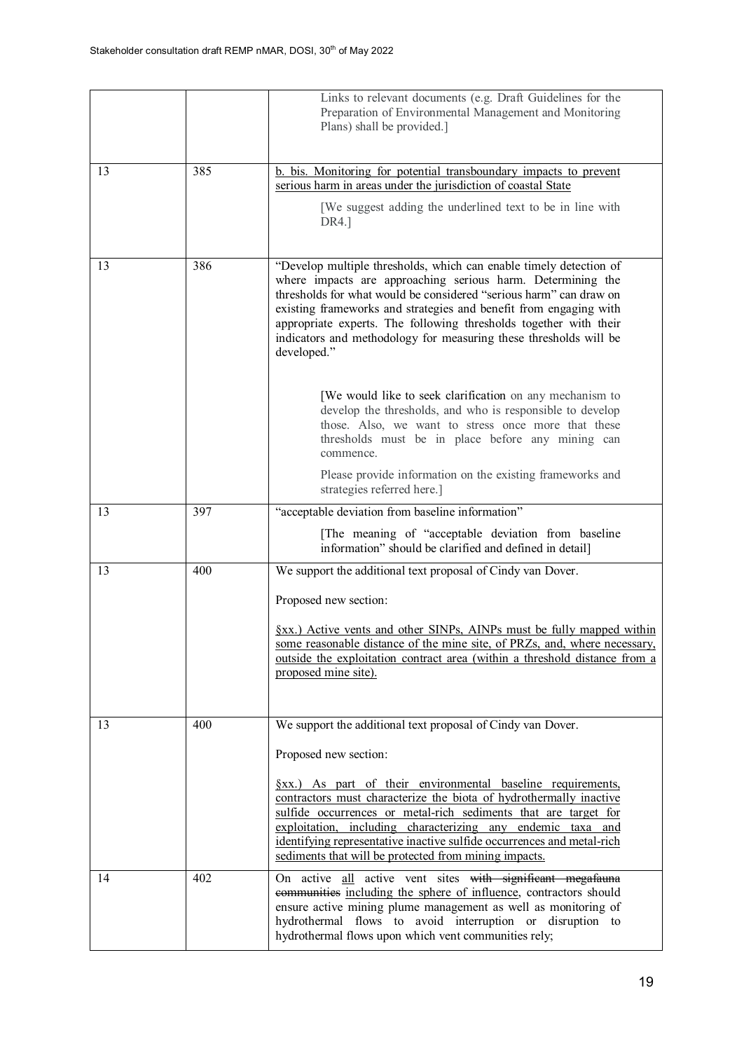|    |     | Links to relevant documents (e.g. Draft Guidelines for the<br>Preparation of Environmental Management and Monitoring<br>Plans) shall be provided.]                                                                                                                                                                                                                                                                                                                                                                                                             |
|----|-----|----------------------------------------------------------------------------------------------------------------------------------------------------------------------------------------------------------------------------------------------------------------------------------------------------------------------------------------------------------------------------------------------------------------------------------------------------------------------------------------------------------------------------------------------------------------|
| 13 | 385 | b. bis. Monitoring for potential transboundary impacts to prevent<br>serious harm in areas under the jurisdiction of coastal State                                                                                                                                                                                                                                                                                                                                                                                                                             |
|    |     | [We suggest adding the underlined text to be in line with<br>DR4.]                                                                                                                                                                                                                                                                                                                                                                                                                                                                                             |
| 13 | 386 | "Develop multiple thresholds, which can enable timely detection of<br>where impacts are approaching serious harm. Determining the<br>thresholds for what would be considered "serious harm" can draw on<br>existing frameworks and strategies and benefit from engaging with<br>appropriate experts. The following thresholds together with their<br>indicators and methodology for measuring these thresholds will be<br>developed."<br>[We would like to seek clarification on any mechanism to<br>develop the thresholds, and who is responsible to develop |
|    |     | those. Also, we want to stress once more that these<br>thresholds must be in place before any mining can<br>commence.<br>Please provide information on the existing frameworks and                                                                                                                                                                                                                                                                                                                                                                             |
| 13 | 397 | strategies referred here.]<br>"acceptable deviation from baseline information"                                                                                                                                                                                                                                                                                                                                                                                                                                                                                 |
|    |     | [The meaning of "acceptable deviation from baseline<br>information" should be clarified and defined in detail]                                                                                                                                                                                                                                                                                                                                                                                                                                                 |
| 13 | 400 | We support the additional text proposal of Cindy van Dover.                                                                                                                                                                                                                                                                                                                                                                                                                                                                                                    |
|    |     | Proposed new section:                                                                                                                                                                                                                                                                                                                                                                                                                                                                                                                                          |
|    |     | §xx.) Active vents and other SINPs, AINPs must be fully mapped within<br>some reasonable distance of the mine site, of PRZs, and, where necessary,<br>outside the exploitation contract area (within a threshold distance from a<br>proposed mine site).                                                                                                                                                                                                                                                                                                       |
| 13 | 400 | We support the additional text proposal of Cindy van Dover.                                                                                                                                                                                                                                                                                                                                                                                                                                                                                                    |
|    |     | Proposed new section:                                                                                                                                                                                                                                                                                                                                                                                                                                                                                                                                          |
|    |     | <u>Sxx.) As part of their environmental baseline requirements,</u><br>contractors must characterize the biota of hydrothermally inactive<br>sulfide occurrences or metal-rich sediments that are target for<br>exploitation, including characterizing any endemic taxa and<br>identifying representative inactive sulfide occurrences and metal-rich<br>sediments that will be protected from mining impacts.                                                                                                                                                  |
| 14 | 402 | On active all active vent sites with significant megafauna<br>communities including the sphere of influence, contractors should<br>ensure active mining plume management as well as monitoring of<br>hydrothermal flows to avoid interruption or disruption to<br>hydrothermal flows upon which vent communities rely;                                                                                                                                                                                                                                         |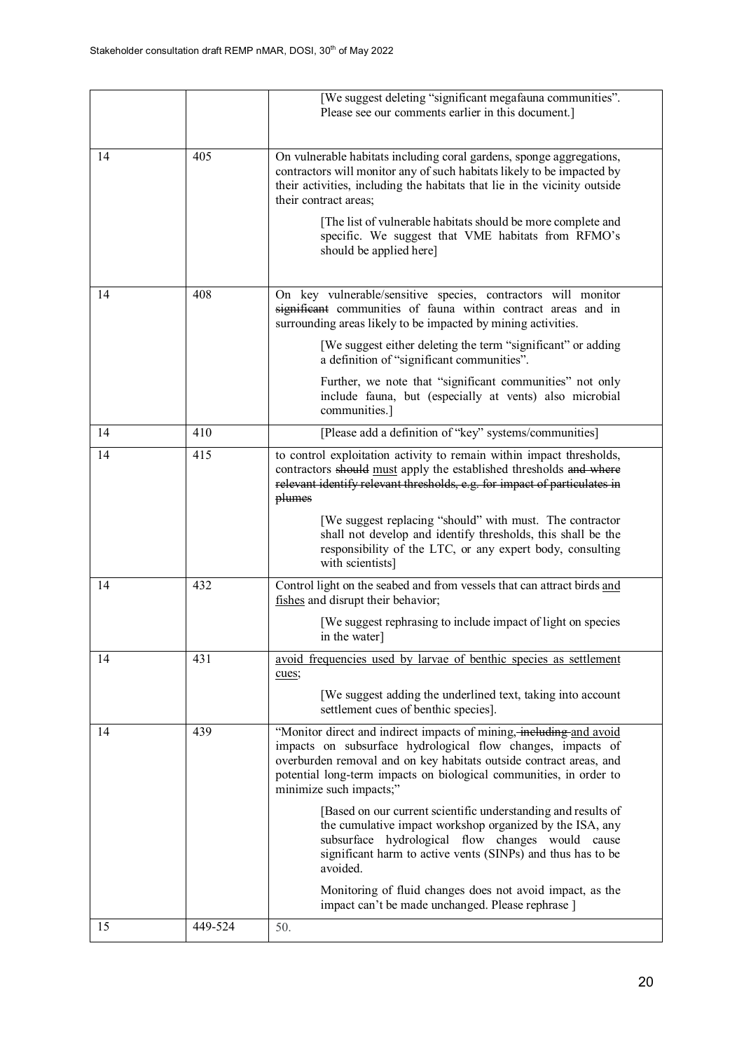|    |         | [We suggest deleting "significant megafauna communities".<br>Please see our comments earlier in this document.]                                                                                                                                                                                           |
|----|---------|-----------------------------------------------------------------------------------------------------------------------------------------------------------------------------------------------------------------------------------------------------------------------------------------------------------|
| 14 | 405     | On vulnerable habitats including coral gardens, sponge aggregations,<br>contractors will monitor any of such habitats likely to be impacted by<br>their activities, including the habitats that lie in the vicinity outside<br>their contract areas;                                                      |
|    |         | [The list of vulnerable habitats should be more complete and<br>specific. We suggest that VME habitats from RFMO's<br>should be applied here]                                                                                                                                                             |
| 14 | 408     | On key vulnerable/sensitive species, contractors will monitor<br>significant communities of fauna within contract areas and in<br>surrounding areas likely to be impacted by mining activities.                                                                                                           |
|    |         | [We suggest either deleting the term "significant" or adding<br>a definition of "significant communities".                                                                                                                                                                                                |
|    |         | Further, we note that "significant communities" not only<br>include fauna, but (especially at vents) also microbial<br>communities.]                                                                                                                                                                      |
| 14 | 410     | [Please add a definition of "key" systems/communities]                                                                                                                                                                                                                                                    |
| 14 | 415     | to control exploitation activity to remain within impact thresholds,<br>contractors should must apply the established thresholds and where<br>relevant identify relevant thresholds, e.g. for impact of particulates in<br>plumes                                                                         |
|    |         | [We suggest replacing "should" with must. The contractor<br>shall not develop and identify thresholds, this shall be the<br>responsibility of the LTC, or any expert body, consulting<br>with scientists]                                                                                                 |
| 14 | 432     | Control light on the seabed and from vessels that can attract birds and<br>fishes and disrupt their behavior;                                                                                                                                                                                             |
|    |         | [We suggest rephrasing to include impact of light on species]<br>in the water]                                                                                                                                                                                                                            |
| 14 | 431     | avoid frequencies used by larvae of benthic species as settlement<br>cues;                                                                                                                                                                                                                                |
|    |         | [We suggest adding the underlined text, taking into account<br>settlement cues of benthic species].                                                                                                                                                                                                       |
| 14 | 439     | "Monitor direct and indirect impacts of mining, including and avoid<br>impacts on subsurface hydrological flow changes, impacts of<br>overburden removal and on key habitats outside contract areas, and<br>potential long-term impacts on biological communities, in order to<br>minimize such impacts;" |
|    |         | [Based on our current scientific understanding and results of<br>the cumulative impact workshop organized by the ISA, any<br>subsurface hydrological flow changes would cause<br>significant harm to active vents (SINPs) and thus has to be<br>avoided.                                                  |
|    |         | Monitoring of fluid changes does not avoid impact, as the<br>impact can't be made unchanged. Please rephrase ]                                                                                                                                                                                            |
| 15 | 449-524 | 50.                                                                                                                                                                                                                                                                                                       |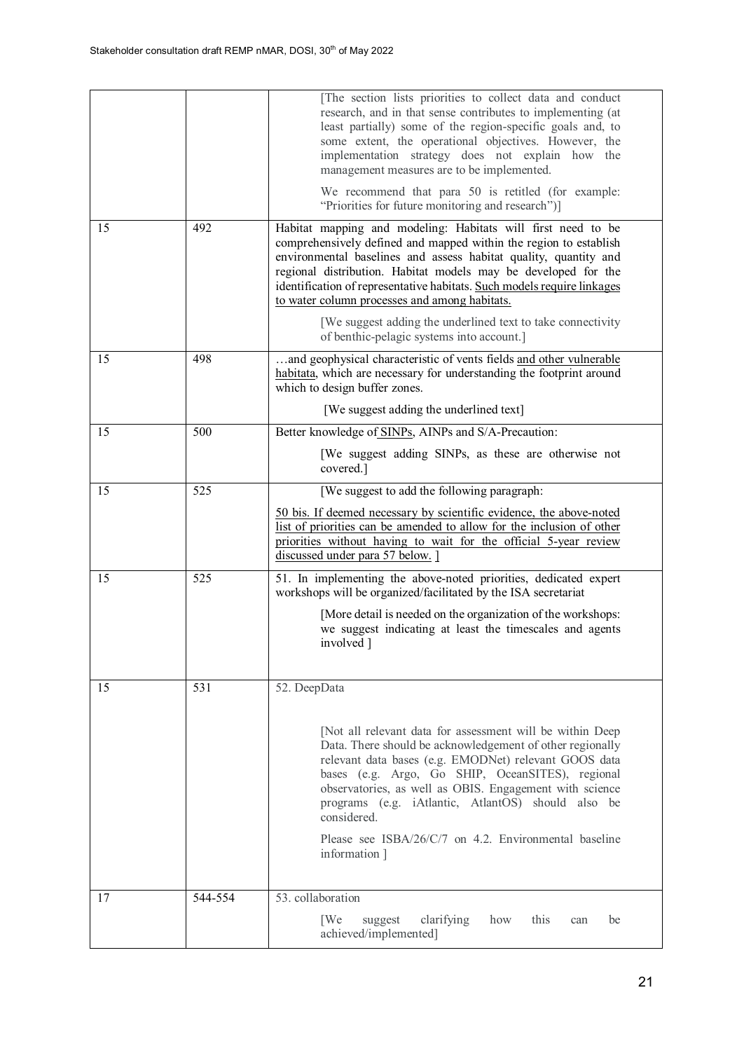|    |         | [The section lists priorities to collect data and conduct<br>research, and in that sense contributes to implementing (at<br>least partially) some of the region-specific goals and, to<br>some extent, the operational objectives. However, the<br>implementation strategy does not explain how the<br>management measures are to be implemented.<br>We recommend that para 50 is retitled (for example: |
|----|---------|----------------------------------------------------------------------------------------------------------------------------------------------------------------------------------------------------------------------------------------------------------------------------------------------------------------------------------------------------------------------------------------------------------|
|    |         | "Priorities for future monitoring and research")]                                                                                                                                                                                                                                                                                                                                                        |
| 15 | 492     | Habitat mapping and modeling: Habitats will first need to be<br>comprehensively defined and mapped within the region to establish<br>environmental baselines and assess habitat quality, quantity and<br>regional distribution. Habitat models may be developed for the<br>identification of representative habitats. Such models require linkages<br>to water column processes and among habitats.      |
|    |         | [We suggest adding the underlined text to take connectivity<br>of benthic-pelagic systems into account.]                                                                                                                                                                                                                                                                                                 |
| 15 | 498     | and geophysical characteristic of vents fields and other vulnerable<br>habitata, which are necessary for understanding the footprint around<br>which to design buffer zones.                                                                                                                                                                                                                             |
|    |         | [We suggest adding the underlined text]                                                                                                                                                                                                                                                                                                                                                                  |
| 15 | 500     | Better knowledge of SINPs, AINPs and S/A-Precaution:                                                                                                                                                                                                                                                                                                                                                     |
|    |         | [We suggest adding SINPs, as these are otherwise not<br>covered.]                                                                                                                                                                                                                                                                                                                                        |
| 15 | 525     | [We suggest to add the following paragraph:                                                                                                                                                                                                                                                                                                                                                              |
|    |         | 50 bis. If deemed necessary by scientific evidence, the above-noted<br>list of priorities can be amended to allow for the inclusion of other<br>priorities without having to wait for the official 5-year review<br>discussed under para 57 below. ]                                                                                                                                                     |
| 15 | 525     | 51. In implementing the above-noted priorities, dedicated expert<br>workshops will be organized/facilitated by the ISA secretariat                                                                                                                                                                                                                                                                       |
|    |         | [More detail is needed on the organization of the workshops:<br>we suggest indicating at least the timescales and agents<br>involved ]                                                                                                                                                                                                                                                                   |
| 15 | 531     | 52. DeepData                                                                                                                                                                                                                                                                                                                                                                                             |
|    |         | [Not all relevant data for assessment will be within Deep<br>Data. There should be acknowledgement of other regionally<br>relevant data bases (e.g. EMODNet) relevant GOOS data<br>bases (e.g. Argo, Go SHIP, OceanSITES), regional<br>observatories, as well as OBIS. Engagement with science<br>programs (e.g. iAtlantic, AtlantOS) should also be<br>considered.                                      |
|    |         | Please see ISBA/26/C/7 on 4.2. Environmental baseline<br>information ]                                                                                                                                                                                                                                                                                                                                   |
| 17 | 544-554 | 53. collaboration                                                                                                                                                                                                                                                                                                                                                                                        |
|    |         | [We<br>suggest<br>clarifying<br>how<br>this<br>be<br>can<br>achieved/implemented]                                                                                                                                                                                                                                                                                                                        |